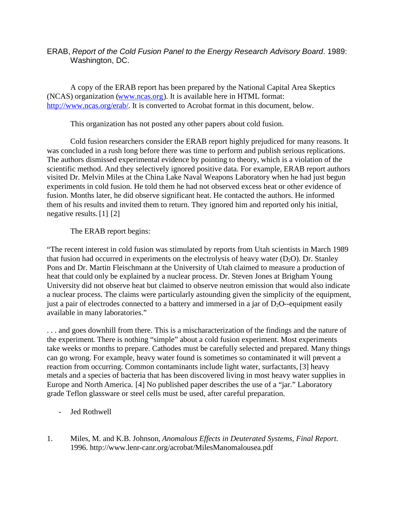#### ERAB, *Report of the Cold Fusion Panel to the Energy Research Advisory Board*. 1989: Washington, DC.

A copy of the ERAB report has been prepared by the National Capital Area Skeptics (NCAS) organization([www.ncas.org\)](http://www.ncas.org/). It is available here in HTML format: [http://www.ncas.org/erab/.](http://www.ncas.org/erab/) It is converted to Acrobat format in this document, below.

This organization has not posted any other papers about cold fusion.

Cold fusion researchers consider the ERAB report highly prejudiced for many reasons. It was concluded in a rush long before there was time to perform and publish serious replications. The authors dismissed experimental evidence by pointing to theory, which is a violation of the scientific method. And they selectively ignored positive data. For example, ERAB report authors visited Dr. Melvin Miles at the China Lake Naval Weapons Laboratory when he had just begun experiments in cold fusion. He told them he had not observed excess heat or other evidence of fusion. Months later, he did observe significant heat. He contacted the authors. He informed them of his results and invited them to return. They ignored him and reported only his initial, negative results. [1] [2]

#### The ERAB report begins:

"The recent interest in cold fusion was stimulated by reports from Utah scientists in March 1989 that fusion had occurred in experiments on the electrolysis of heavy water  $(D_2O)$ . Dr. Stanley Pons and Dr. Martin Fleischmann at the University of Utah claimed to measure a production of heat that could only be explained by a nuclear process. Dr. Steven Jones at Brigham Young University did not observe heat but claimed to observe neutron emission that would also indicate a nuclear process. The claims were particularly astounding given the simplicity of the equipment, just a pair of electrodes connected to a battery and immersed in a jar of  $D_2O$ -equipment easily available in many laboratories."

. . . and goes downhill from there. This is a mischaracterization of the findings and the nature of the experiment. There is nothing "simple" about a cold fusion experiment. Most experiments take weeks or months to prepare. Cathodes must be carefully selected and prepared. Many things can go wrong. For example, heavy water found is sometimes so contaminated it will prevent a reaction from occurring. Common contaminants include light water, surfactants, [3] heavy metals and a species of bacteria that has been discovered living in most heavy water supplies in Europe and North America. [4] No published paper describes the use of a "jar." Laboratory grade Teflon glassware or steel cells must be used, after careful preparation.

- Jed Rothwell
- 1. Miles, M. and K.B. Johnson, *Anomalous Effects in Deuterated Systems, Final Report*. 1996. http://www.lenr-canr.org/acrobat/MilesManomalousea.pdf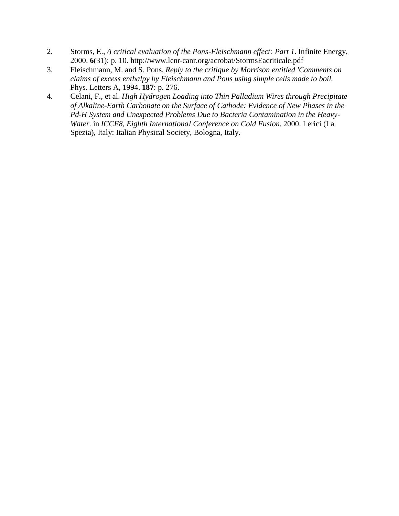- 2. Storms, E., *A critical evaluation of the Pons-Fleischmann effect: Part 1.* Infinite Energy, 2000. **6**(31): p. 10. http://www.lenr-canr.org/acrobat/StormsEacriticale.pdf
- 3. Fleischmann, M. and S. Pons, *Reply to the critique by Morrison entitled 'Comments on claims of excess enthalpy by Fleischmann and Pons using simple cells made to boil.* Phys. Letters A, 1994. **187**: p. 276.
- 4. Celani, F., et al. *High Hydrogen Loading into Thin Palladium Wires through Precipitate of Alkaline-Earth Carbonate on the Surface of Cathode: Evidence of New Phases in the Pd-H System and Unexpected Problems Due to Bacteria Contamination in the Heavy-Water*. in *ICCF8, Eighth International Conference on Cold Fusion*. 2000. Lerici (La Spezia), Italy: Italian Physical Society, Bologna, Italy.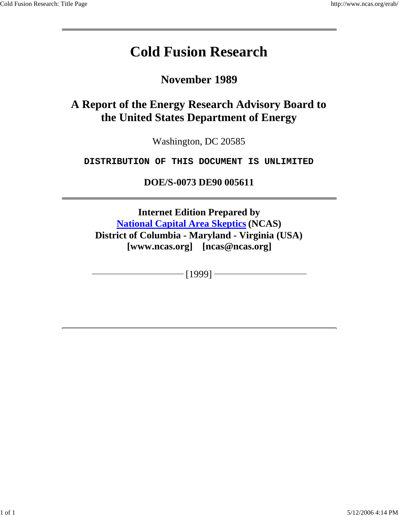# **Cold Fusion Research**

**November 1989**

## **A Report of the Energy Research Advisory Board to the United States Department of Energy**

Washington, DC 20585

**DISTRIBUTION OF THIS DOCUMENT IS UNLIMITED**

**DOE/S-0073 DE90 005611**

**Internet Edition Prepared by National Capital Area Skeptics (NCAS) District of Columbia - Maryland - Virginia (USA) [www.ncas.org] [ncas@ncas.org]**

 $-[1999]$  –

1 of 1 5/12/2006 4:14 PM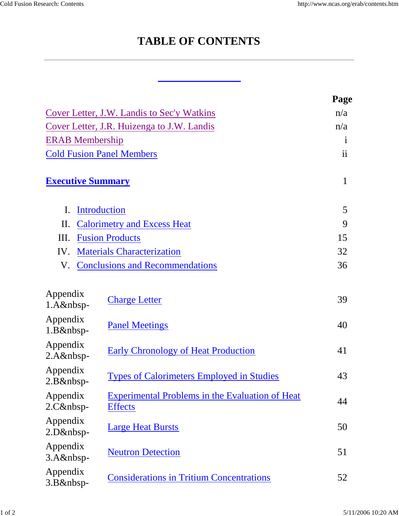## **TABLE OF CONTENTS**

|                                            |                                                                          | Page         |  |  |  |
|--------------------------------------------|--------------------------------------------------------------------------|--------------|--|--|--|
| Cover Letter, J.W. Landis to Sec'y Watkins |                                                                          |              |  |  |  |
| Cover Letter, J.R. Huizenga to J.W. Landis |                                                                          |              |  |  |  |
| <b>ERAB</b> Membership                     |                                                                          | $\mathbf{1}$ |  |  |  |
|                                            | <b>Cold Fusion Panel Members</b>                                         | ii           |  |  |  |
| <b>Executive Summary</b>                   |                                                                          | $\mathbf{1}$ |  |  |  |
| $\mathbf{I}$ .                             | <b>Introduction</b>                                                      | 5            |  |  |  |
| П.                                         | <b>Calorimetry and Excess Heat</b>                                       | 9            |  |  |  |
| Ш.                                         | <b>Fusion Products</b>                                                   | 15           |  |  |  |
| IV.                                        | <b>Materials Characterization</b>                                        | 32           |  |  |  |
| V.                                         | <b>Conclusions and Recommendations</b>                                   | 36           |  |  |  |
| Appendix<br>$1.A&nbsp-$                    | <b>Charge Letter</b>                                                     | 39           |  |  |  |
| Appendix<br>1.B&nbsp-                      | <b>Panel Meetings</b>                                                    | 40           |  |  |  |
| Appendix<br>$2.A&nbsp-$                    | <b>Early Chronology of Heat Production</b>                               | 41           |  |  |  |
| Appendix<br>2.B&nbsp-                      | <b>Types of Calorimeters Employed in Studies</b>                         | 43           |  |  |  |
| Appendix<br>$2.C&nbsp-$                    | <b>Experimental Problems in the Evaluation of Heat</b><br><b>Effects</b> | 44           |  |  |  |
| Appendix<br>2.D&nbsp-                      | <b>Large Heat Bursts</b>                                                 | 50           |  |  |  |
| Appendix<br>$3.A&nbsp-$                    | <b>Neutron Detection</b>                                                 | 51           |  |  |  |
| Appendix<br>3.B&nbsp-                      | <b>Considerations in Tritium Concentrations</b>                          | 52           |  |  |  |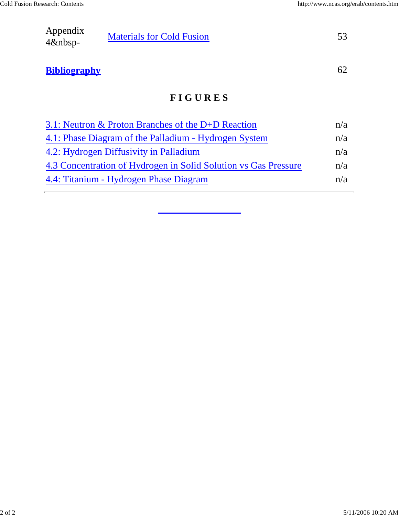| Appendix   |                                  |  |
|------------|----------------------------------|--|
|            | <b>Materials for Cold Fusion</b> |  |
| $4\&nbsp-$ |                                  |  |

## **Bibliography** 62

### **F I G U R E S**

| 3.1: Neutron $&$ Proton Branches of the D+D Reaction            | n/a |
|-----------------------------------------------------------------|-----|
| 4.1: Phase Diagram of the Palladium - Hydrogen System           | n/a |
| 4.2: Hydrogen Diffusivity in Palladium                          | n/a |
| 4.3 Concentration of Hydrogen in Solid Solution vs Gas Pressure | n/a |
| 4.4: Titanium - Hydrogen Phase Diagram                          | n/a |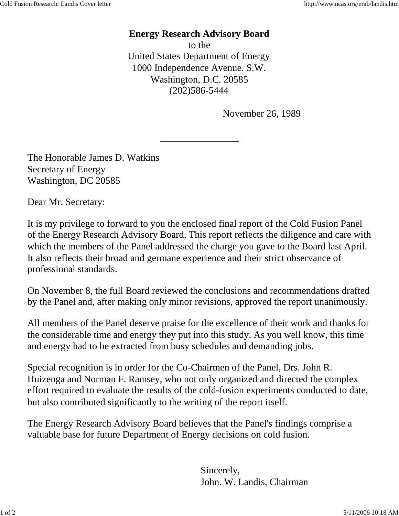#### **Energy Research Advisory Board**

to the United States Department of Energy 1000 Independence Avenue. S.W. Washington, D.C. 20585 (202)586-5444

November 26, 1989

The Honorable James D. Watkins Secretary of Energy Washington, DC 20585

Dear Mr. Secretary:

It is my privilege to forward to you the enclosed final report of the Cold Fusion Panel of the Energy Research Advisory Board. This report reflects the diligence and care with which the members of the Panel addressed the charge you gave to the Board last April. It also reflects their broad and germane experience and their strict observance of professional standards.

On November 8, the full Board reviewed the conclusions and recommendations drafted by the Panel and, after making only minor revisions, approved the report unanimously.

All members of the Panel deserve praise for the excellence of their work and thanks for the considerable time and energy they put into this study. As you well know, this time and energy had to be extracted from busy schedules and demanding jobs.

Special recognition is in order for the Co-Chairmen of the Panel, Drs. John R. Huizenga and Norman F. Ramsey, who not only organized and directed the complex effort required to evaluate the results of the cold-fusion experiments conducted to date, but also contributed significantly to the writing of the report itself.

The Energy Research Advisory Board believes that the Panel's findings comprise a valuable base for future Department of Energy decisions on cold fusion.

> Sincerely, John. W. Landis, Chairman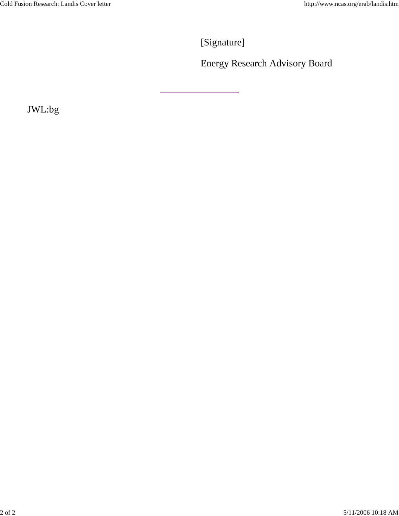[Signature]

<u> 1989 - Johann Stoff, fransk politik (</u>

Energy Research Advisory Board

JWL:bg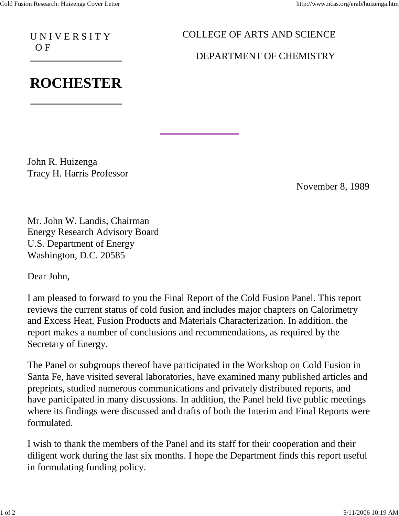U N I V E R S I T Y O F

### COLLEGE OF ARTS AND SCIENCE

DEPARTMENT OF CHEMISTRY

# **ROCHESTER**

John R. Huizenga Tracy H. Harris Professor

November 8, 1989

Mr. John W. Landis, Chairman Energy Research Advisory Board U.S. Department of Energy Washington, D.C. 20585

Dear John,

I am pleased to forward to you the Final Report of the Cold Fusion Panel. This report reviews the current status of cold fusion and includes major chapters on Calorimetry and Excess Heat, Fusion Products and Materials Characterization. In addition. the report makes a number of conclusions and recommendations, as required by the Secretary of Energy.

The Panel or subgroups thereof have participated in the Workshop on Cold Fusion in Santa Fe, have visited several laboratories, have examined many published articles and preprints, studied numerous communications and privately distributed reports, and have participated in many discussions. In addition, the Panel held five public meetings where its findings were discussed and drafts of both the Interim and Final Reports were formulated.

I wish to thank the members of the Panel and its staff for their cooperation and their diligent work during the last six months. I hope the Department finds this report useful in formulating funding policy.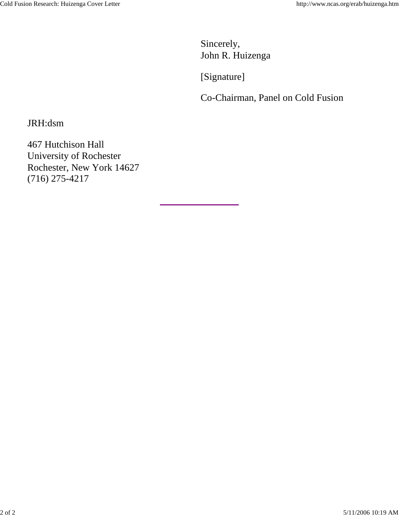Sincerely, John R. Huizenga

[Signature]

Co-Chairman, Panel on Cold Fusion

JRH:dsm

467 Hutchison Hall University of Rochester Rochester, New York 14627 (716) 275-4217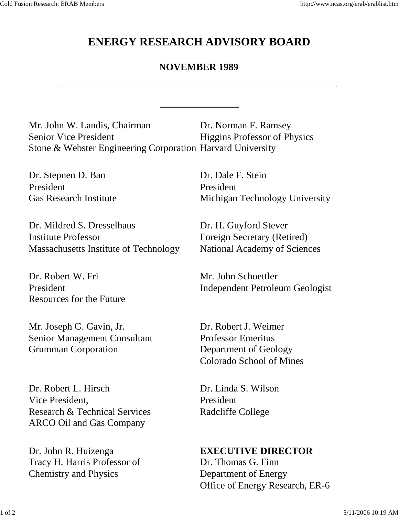## **ENERGY RESEARCH ADVISORY BOARD**

### **NOVEMBER 1989**

Mr. John W. Landis, Chairman Senior Vice President Stone & Webster Engineering Corporation Harvard University Dr. Norman F. Ramsey

Dr. Stepnen D. Ban President Gas Research Institute

Dr. Mildred S. Dresselhaus Institute Professor Massachusetts Institute of Technology

Dr. Robert W. Fri President Resources for the Future

Mr. Joseph G. Gavin, Jr. Senior Management Consultant Grumman Corporation

Dr. Robert L. Hirsch Vice President, Research & Technical Services ARCO Oil and Gas Company

Dr. John R. Huizenga Tracy H. Harris Professor of Chemistry and Physics

Higgins Professor of Physics

Dr. Dale F. Stein President Michigan Technology University

Dr. H. Guyford Stever Foreign Secretary (Retired) National Academy of Sciences

Mr. John Schoettler Independent Petroleum Geologist

Dr. Robert J. Weimer Professor Emeritus Department of Geology Colorado School of Mines

Dr. Linda S. Wilson President Radcliffe College

**EXECUTIVE DIRECTOR**

Dr. Thomas G. Finn Department of Energy Office of Energy Research, ER-6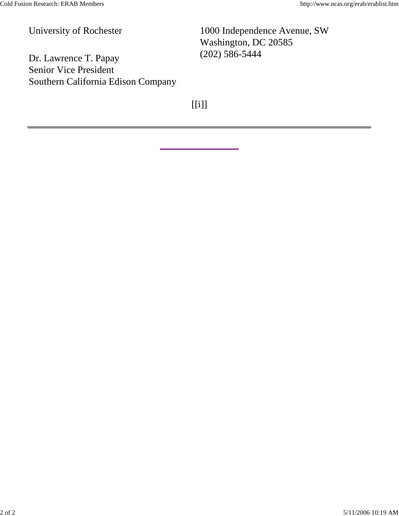(202) 586-5444 Dr. Lawrence T. Papay Senior Vice President Southern California Edison Company

University of Rochester 1000 Independence Avenue, SW Washington, DC 20585

 $[$ ] \label{eq:3}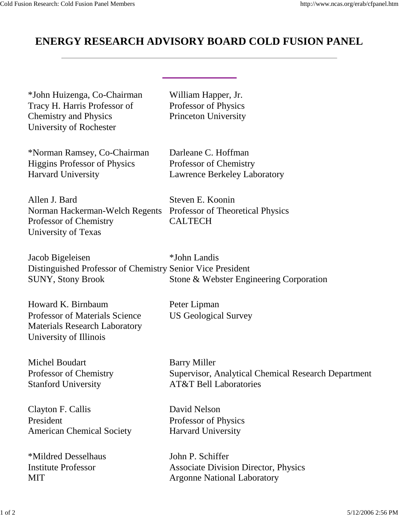## **ENERGY RESEARCH ADVISORY BOARD COLD FUSION PANEL**

William Happer, Jr. Professor of Physics Princeton University

\*John Huizenga, Co-Chairman Tracy H. Harris Professor of Chemistry and Physics University of Rochester

\*Norman Ramsey, Co-Chairman Higgins Professor of Physics Harvard University

Darleane C. Hoffman Professor of Chemistry

Allen J. Bard Norman Hackerman-Welch Regents Professor of Chemistry University of Texas

Lawrence Berkeley Laboratory

Steven E. Koonin Professor of Theoretical Physics CALTECH

Jacob Bigeleisen Distinguished Professor of Chemistry Senior Vice President SUNY, Stony Brook \*John Landis Stone & Webster Engineering Corporation

Howard K. Birnbaum Professor of Materials Science Materials Research Laboratory University of Illinois

Michel Boudart Professor of Chemistry Stanford University

Clayton F. Callis President American Chemical Society

\*Mildred Desselhaus Institute Professor **MIT** 

Peter Lipman US Geological Survey

Barry Miller Supervisor, Analytical Chemical Research Department AT&T Bell Laboratories

David Nelson Professor of Physics Harvard University

John P. Schiffer Associate Division Director, Physics Argonne National Laboratory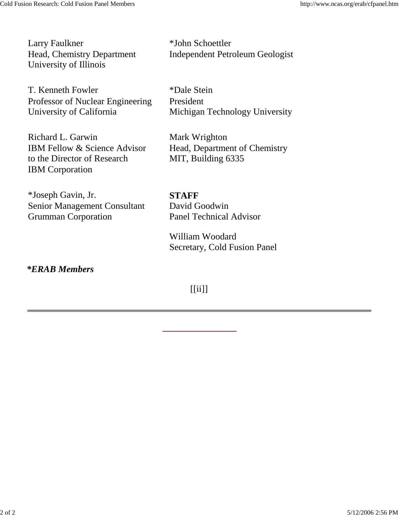Larry Faulkner Head, Chemistry Department University of Illinois

T. Kenneth Fowler Professor of Nuclear Engineering University of California

Richard L. Garwin IBM Fellow & Science Advisor to the Director of Research IBM Corporation

\*Joseph Gavin, Jr. Senior Management Consultant Grumman Corporation

\*John Schoettler Independent Petroleum Geologist

\*Dale Stein President Michigan Technology University

Mark Wrighton Head, Department of Chemistry MIT, Building 6335

**STAFF** David Goodwin Panel Technical Advisor

William Woodard Secretary, Cold Fusion Panel

*\*ERAB Members*

[[ii]]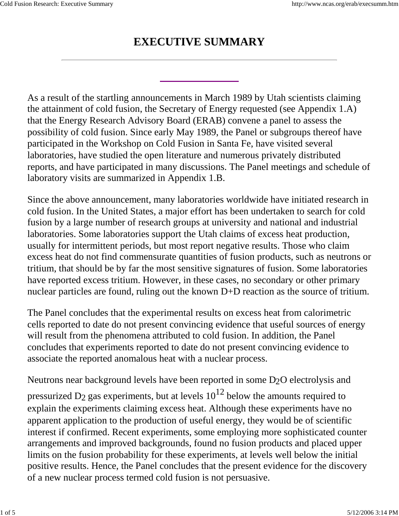## **EXECUTIVE SUMMARY**

As a result of the startling announcements in March 1989 by Utah scientists claiming the attainment of cold fusion, the Secretary of Energy requested (see Appendix 1.A) that the Energy Research Advisory Board (ERAB) convene a panel to assess the possibility of cold fusion. Since early May 1989, the Panel or subgroups thereof have participated in the Workshop on Cold Fusion in Santa Fe, have visited several laboratories, have studied the open literature and numerous privately distributed reports, and have participated in many discussions. The Panel meetings and schedule of laboratory visits are summarized in Appendix 1.B.

Since the above announcement, many laboratories worldwide have initiated research in cold fusion. In the United States, a major effort has been undertaken to search for cold fusion by a large number of research groups at university and national and industrial laboratories. Some laboratories support the Utah claims of excess heat production, usually for intermittent periods, but most report negative results. Those who claim excess heat do not find commensurate quantities of fusion products, such as neutrons or tritium, that should be by far the most sensitive signatures of fusion. Some laboratories have reported excess tritium. However, in these cases, no secondary or other primary nuclear particles are found, ruling out the known D+D reaction as the source of tritium.

The Panel concludes that the experimental results on excess heat from calorimetric cells reported to date do not present convincing evidence that useful sources of energy will result from the phenomena attributed to cold fusion. In addition, the Panel concludes that experiments reported to date do not present convincing evidence to associate the reported anomalous heat with a nuclear process.

Neutrons near background levels have been reported in some D2O electrolysis and pressurized D<sub>2</sub> gas experiments, but at levels  $10^{12}$  below the amounts required to explain the experiments claiming excess heat. Although these experiments have no apparent application to the production of useful energy, they would be of scientific interest if confirmed. Recent experiments, some employing more sophisticated counter arrangements and improved backgrounds, found no fusion products and placed upper limits on the fusion probability for these experiments, at levels well below the initial positive results. Hence, the Panel concludes that the present evidence for the discovery of a new nuclear process termed cold fusion is not persuasive.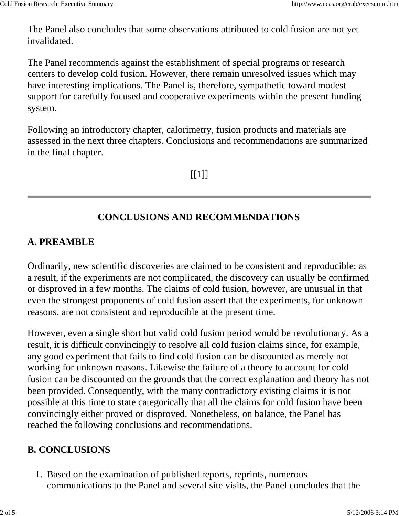The Panel also concludes that some observations attributed to cold fusion are not yet invalidated.

The Panel recommends against the establishment of special programs or research centers to develop cold fusion. However, there remain unresolved issues which may have interesting implications. The Panel is, therefore, sympathetic toward modest support for carefully focused and cooperative experiments within the present funding system.

Following an introductory chapter, calorimetry, fusion products and materials are assessed in the next three chapters. Conclusions and recommendations are summarized in the final chapter.

 $[[1]]$ 

### **CONCLUSIONS AND RECOMMENDATIONS**

### **A. PREAMBLE**

Ordinarily, new scientific discoveries are claimed to be consistent and reproducible; as a result, if the experiments are not complicated, the discovery can usually be confirmed or disproved in a few months. The claims of cold fusion, however, are unusual in that even the strongest proponents of cold fusion assert that the experiments, for unknown reasons, are not consistent and reproducible at the present time.

However, even a single short but valid cold fusion period would be revolutionary. As a result, it is difficult convincingly to resolve all cold fusion claims since, for example, any good experiment that fails to find cold fusion can be discounted as merely not working for unknown reasons. Likewise the failure of a theory to account for cold fusion can be discounted on the grounds that the correct explanation and theory has not been provided. Consequently, with the many contradictory existing claims it is not possible at this time to state categorically that all the claims for cold fusion have been convincingly either proved or disproved. Nonetheless, on balance, the Panel has reached the following conclusions and recommendations.

## **B. CONCLUSIONS**

1. Based on the examination of published reports, reprints, numerous communications to the Panel and several site visits, the Panel concludes that the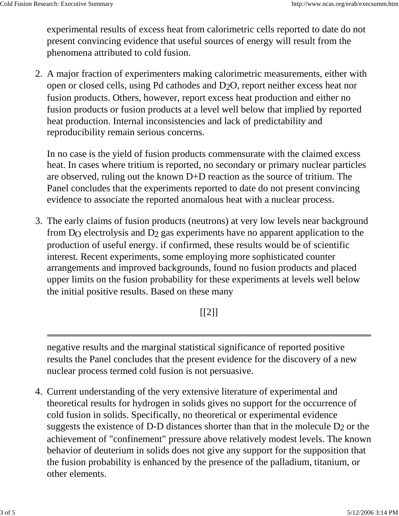experimental results of excess heat from calorimetric cells reported to date do not present convincing evidence that useful sources of energy will result from the phenomena attributed to cold fusion.

A major fraction of experimenters making calorimetric measurements, either with 2. open or closed cells, using Pd cathodes and D2O, report neither excess heat nor fusion products. Others, however, report excess heat production and either no fusion products or fusion products at a level well below that implied by reported heat production. Internal inconsistencies and lack of predictability and reproducibility remain serious concerns.

In no case is the yield of fusion products commensurate with the claimed excess heat. In cases where tritium is reported, no secondary or primary nuclear particles are observed, ruling out the known D+D reaction as the source of tritium. The Panel concludes that the experiments reported to date do not present convincing evidence to associate the reported anomalous heat with a nuclear process.

The early claims of fusion products (neutrons) at very low levels near background 3. from  $D<sub>O</sub>$  electrolysis and  $D<sub>2</sub>$  gas experiments have no apparent application to the production of useful energy. if confirmed, these results would be of scientific interest. Recent experiments, some employing more sophisticated counter arrangements and improved backgrounds, found no fusion products and placed upper limits on the fusion probability for these experiments at levels well below the initial positive results. Based on these many

 $[$ [2]]

negative results and the marginal statistical significance of reported positive results the Panel concludes that the present evidence for the discovery of a new nuclear process termed cold fusion is not persuasive.

Current understanding of the very extensive literature of experimental and 4.theoretical results for hydrogen in solids gives no support for the occurrence of cold fusion in solids. Specifically, no theoretical or experimental evidence suggests the existence of D-D distances shorter than that in the molecule  $D_2$  or the achievement of "confinement" pressure above relatively modest levels. The known behavior of deuterium in solids does not give any support for the supposition that the fusion probability is enhanced by the presence of the palladium, titanium, or other elements.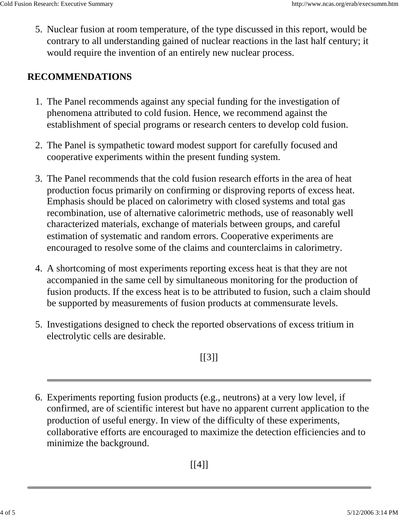5. Nuclear fusion at room temperature, of the type discussed in this report, would be contrary to all understanding gained of nuclear reactions in the last half century; it would require the invention of an entirely new nuclear process.

#### **RECOMMENDATIONS**

- 1. The Panel recommends against any special funding for the investigation of phenomena attributed to cold fusion. Hence, we recommend against the establishment of special programs or research centers to develop cold fusion.
- 2. The Panel is sympathetic toward modest support for carefully focused and cooperative experiments within the present funding system.
- 3. The Panel recommends that the cold fusion research efforts in the area of heat production focus primarily on confirming or disproving reports of excess heat. Emphasis should be placed on calorimetry with closed systems and total gas recombination, use of alternative calorimetric methods, use of reasonably well characterized materials, exchange of materials between groups, and careful estimation of systematic and random errors. Cooperative experiments are encouraged to resolve some of the claims and counterclaims in calorimetry.
- A shortcoming of most experiments reporting excess heat is that they are not 4. accompanied in the same cell by simultaneous monitoring for the production of fusion products. If the excess heat is to be attributed to fusion, such a claim should be supported by measurements of fusion products at commensurate levels.
- 5. Investigations designed to check the reported observations of excess tritium in electrolytic cells are desirable.

 $[[3]]$ 

Experiments reporting fusion products (e.g., neutrons) at a very low level, if 6. confirmed, are of scientific interest but have no apparent current application to the production of useful energy. In view of the difficulty of these experiments, collaborative efforts are encouraged to maximize the detection efficiencies and to minimize the background.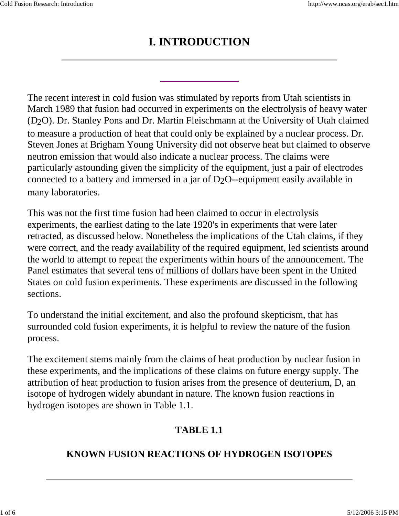## **I. INTRODUCTION**

The recent interest in cold fusion was stimulated by reports from Utah scientists in March 1989 that fusion had occurred in experiments on the electrolysis of heavy water (D2O). Dr. Stanley Pons and Dr. Martin Fleischmann at the University of Utah claimed to measure a production of heat that could only be explained by a nuclear process. Dr. Steven Jones at Brigham Young University did not observe heat but claimed to observe neutron emission that would also indicate a nuclear process. The claims were particularly astounding given the simplicity of the equipment, just a pair of electrodes connected to a battery and immersed in a jar of D2O--equipment easily available in many laboratories.

This was not the first time fusion had been claimed to occur in electrolysis experiments, the earliest dating to the late 1920's in experiments that were later retracted, as discussed below. Nonetheless the implications of the Utah claims, if they were correct, and the ready availability of the required equipment, led scientists around the world to attempt to repeat the experiments within hours of the announcement. The Panel estimates that several tens of millions of dollars have been spent in the United States on cold fusion experiments. These experiments are discussed in the following sections.

To understand the initial excitement, and also the profound skepticism, that has surrounded cold fusion experiments, it is helpful to review the nature of the fusion process.

The excitement stems mainly from the claims of heat production by nuclear fusion in these experiments, and the implications of these claims on future energy supply. The attribution of heat production to fusion arises from the presence of deuterium, D, an isotope of hydrogen widely abundant in nature. The known fusion reactions in hydrogen isotopes are shown in Table 1.1.

### **TABLE 1.1**

#### **KNOWN FUSION REACTIONS OF HYDROGEN ISOTOPES**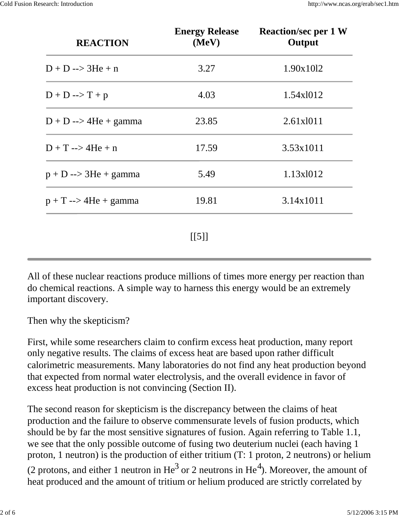| <b>REACTION</b>                 | <b>Energy Release</b><br>(MeV) | <b>Reaction/sec per 1 W</b><br>Output |
|---------------------------------|--------------------------------|---------------------------------------|
| $D + D \rightarrow 3He + n$     | 3.27                           | 1.90x1012                             |
| $D + D \rightarrow T + p$       | 4.03                           | 1.54x1012                             |
| $D + D \rightarrow 4He + gamma$ | 23.85                          | 2.61x1011                             |
| $D + T \rightarrow 4He + n$     | 17.59                          | 3.53x1011                             |
| $p + D \rightarrow 3He + gamma$ | 5.49                           | 1.13x1012                             |
| $p + T \rightarrow 4He + gamma$ | 19.81                          | 3.14x1011                             |
|                                 | [[5]]                          |                                       |

All of these nuclear reactions produce millions of times more energy per reaction than do chemical reactions. A simple way to harness this energy would be an extremely important discovery.

Then why the skepticism?

First, while some researchers claim to confirm excess heat production, many report only negative results. The claims of excess heat are based upon rather difficult calorimetric measurements. Many laboratories do not find any heat production beyond that expected from normal water electrolysis, and the overall evidence in favor of excess heat production is not convincing (Section II).

The second reason for skepticism is the discrepancy between the claims of heat production and the failure to observe commensurate levels of fusion products, which should be by far the most sensitive signatures of fusion. Again referring to Table 1.1, we see that the only possible outcome of fusing two deuterium nuclei (each having 1 proton, 1 neutron) is the production of either tritium (T: 1 proton, 2 neutrons) or helium (2 protons, and either 1 neutron in He<sup>3</sup> or 2 neutrons in He<sup>4</sup>). Moreover, the amount of heat produced and the amount of tritium or helium produced are strictly correlated by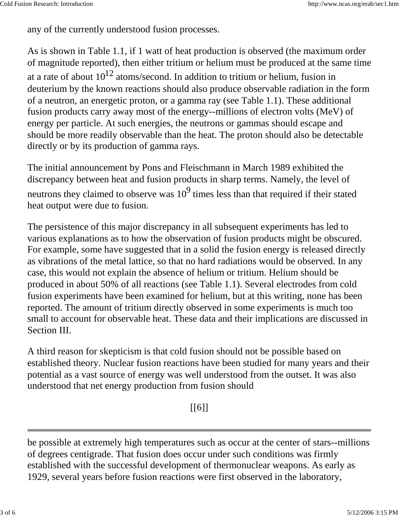any of the currently understood fusion processes.

As is shown in Table 1.1, if 1 watt of heat production is observed (the maximum order of magnitude reported), then either tritium or helium must be produced at the same time at a rate of about  $10^{12}$  atoms/second. In addition to tritium or helium, fusion in deuterium by the known reactions should also produce observable radiation in the form of a neutron, an energetic proton, or a gamma ray (see Table 1.1). These additional fusion products carry away most of the energy--millions of electron volts (MeV) of energy per particle. At such energies, the neutrons or gammas should escape and should be more readily observable than the heat. The proton should also be detectable directly or by its production of gamma rays.

The initial announcement by Pons and Fleischmann in March 1989 exhibited the discrepancy between heat and fusion products in sharp terms. Namely, the level of neutrons they claimed to observe was  $10^9$  times less than that required if their stated heat output were due to fusion.

The persistence of this major discrepancy in all subsequent experiments has led to various explanations as to how the observation of fusion products might be obscured. For example, some have suggested that in a solid the fusion energy is released directly as vibrations of the metal lattice, so that no hard radiations would be observed. In any case, this would not explain the absence of helium or tritium. Helium should be produced in about 50% of all reactions (see Table 1.1). Several electrodes from cold fusion experiments have been examined for helium, but at this writing, none has been reported. The amount of tritium directly observed in some experiments is much too small to account for observable heat. These data and their implications are discussed in Section III.

A third reason for skepticism is that cold fusion should not be possible based on established theory. Nuclear fusion reactions have been studied for many years and their potential as a vast source of energy was well understood from the outset. It was also understood that net energy production from fusion should

[[6]]

be possible at extremely high temperatures such as occur at the center of stars--millions of degrees centigrade. That fusion does occur under such conditions was firmly established with the successful development of thermonuclear weapons. As early as 1929, several years before fusion reactions were first observed in the laboratory,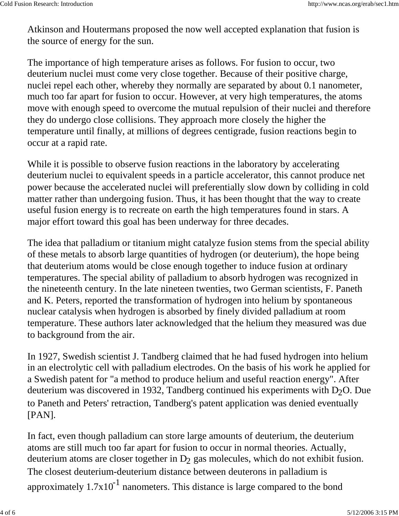Atkinson and Houtermans proposed the now well accepted explanation that fusion is the source of energy for the sun.

The importance of high temperature arises as follows. For fusion to occur, two deuterium nuclei must come very close together. Because of their positive charge, nuclei repel each other, whereby they normally are separated by about 0.1 nanometer, much too far apart for fusion to occur. However, at very high temperatures, the atoms move with enough speed to overcome the mutual repulsion of their nuclei and therefore they do undergo close collisions. They approach more closely the higher the temperature until finally, at millions of degrees centigrade, fusion reactions begin to occur at a rapid rate.

While it is possible to observe fusion reactions in the laboratory by accelerating deuterium nuclei to equivalent speeds in a particle accelerator, this cannot produce net power because the accelerated nuclei will preferentially slow down by colliding in cold matter rather than undergoing fusion. Thus, it has been thought that the way to create useful fusion energy is to recreate on earth the high temperatures found in stars. A major effort toward this goal has been underway for three decades.

The idea that palladium or titanium might catalyze fusion stems from the special ability of these metals to absorb large quantities of hydrogen (or deuterium), the hope being that deuterium atoms would be close enough together to induce fusion at ordinary temperatures. The special ability of palladium to absorb hydrogen was recognized in the nineteenth century. In the late nineteen twenties, two German scientists, F. Paneth and K. Peters, reported the transformation of hydrogen into helium by spontaneous nuclear catalysis when hydrogen is absorbed by finely divided palladium at room temperature. These authors later acknowledged that the helium they measured was due to background from the air.

In 1927, Swedish scientist J. Tandberg claimed that he had fused hydrogen into helium in an electrolytic cell with palladium electrodes. On the basis of his work he applied for a Swedish patent for "a method to produce helium and useful reaction energy". After deuterium was discovered in 1932, Tandberg continued his experiments with  $D<sub>2</sub>O$ . Due to Paneth and Peters' retraction, Tandberg's patent application was denied eventually [PAN].

In fact, even though palladium can store large amounts of deuterium, the deuterium atoms are still much too far apart for fusion to occur in normal theories. Actually, deuterium atoms are closer together in  $D_2$  gas molecules, which do not exhibit fusion. The closest deuterium-deuterium distance between deuterons in palladium is approximately  $1.7x10^{-1}$  nanometers. This distance is large compared to the bond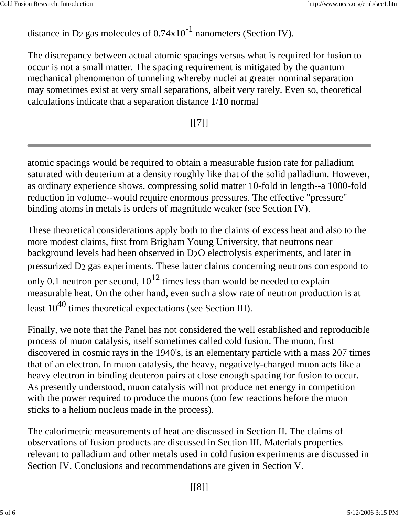distance in D<sub>2</sub> gas molecules of  $0.74 \times 10^{-1}$  nanometers (Section IV).

The discrepancy between actual atomic spacings versus what is required for fusion to occur is not a small matter. The spacing requirement is mitigated by the quantum mechanical phenomenon of tunneling whereby nuclei at greater nominal separation may sometimes exist at very small separations, albeit very rarely. Even so, theoretical calculations indicate that a separation distance 1/10 normal

 $[$ [7]]

atomic spacings would be required to obtain a measurable fusion rate for palladium saturated with deuterium at a density roughly like that of the solid palladium. However, as ordinary experience shows, compressing solid matter 10-fold in length--a 1000-fold reduction in volume--would require enormous pressures. The effective "pressure" binding atoms in metals is orders of magnitude weaker (see Section IV).

These theoretical considerations apply both to the claims of excess heat and also to the more modest claims, first from Brigham Young University, that neutrons near background levels had been observed in D2O electrolysis experiments, and later in pressurized D2 gas experiments. These latter claims concerning neutrons correspond to only 0.1 neutron per second,  $10^{12}$  times less than would be needed to explain measurable heat. On the other hand, even such a slow rate of neutron production is at least  $10^{40}$  times theoretical expectations (see Section III).

Finally, we note that the Panel has not considered the well established and reproducible process of muon catalysis, itself sometimes called cold fusion. The muon, first discovered in cosmic rays in the 1940's, is an elementary particle with a mass 207 times that of an electron. In muon catalysis, the heavy, negatively-charged muon acts like a heavy electron in binding deuteron pairs at close enough spacing for fusion to occur. As presently understood, muon catalysis will not produce net energy in competition with the power required to produce the muons (too few reactions before the muon sticks to a helium nucleus made in the process).

The calorimetric measurements of heat are discussed in Section II. The claims of observations of fusion products are discussed in Section III. Materials properties relevant to palladium and other metals used in cold fusion experiments are discussed in Section IV. Conclusions and recommendations are given in Section V.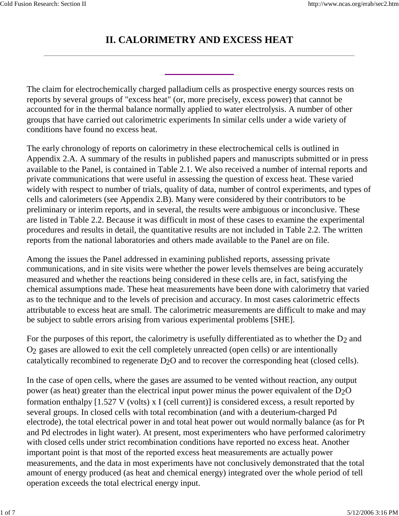#### **II. CALORIMETRY AND EXCESS HEAT**

The claim for electrochemically charged palladium cells as prospective energy sources rests on reports by several groups of "excess heat" (or, more precisely, excess power) that cannot be accounted for in the thermal balance normally applied to water electrolysis. A number of other groups that have carried out calorimetric experiments In similar cells under a wide variety of conditions have found no excess heat.

The early chronology of reports on calorimetry in these electrochemical cells is outlined in Appendix 2.A. A summary of the results in published papers and manuscripts submitted or in press available to the Panel, is contained in Table 2.1. We also received a number of internal reports and private communications that were useful in assessing the question of excess heat. These varied widely with respect to number of trials, quality of data, number of control experiments, and types of cells and calorimeters (see Appendix 2.B). Many were considered by their contributors to be preliminary or interim reports, and in several, the results were ambiguous or inconclusive. These are listed in Table 2.2. Because it was difficult in most of these cases to examine the experimental procedures and results in detail, the quantitative results are not included in Table 2.2. The written reports from the national laboratories and others made available to the Panel are on file.

Among the issues the Panel addressed in examining published reports, assessing private communications, and in site visits were whether the power levels themselves are being accurately measured and whether the reactions being considered in these cells are, in fact, satisfying the chemical assumptions made. These heat measurements have been done with calorimetry that varied as to the technique and to the levels of precision and accuracy. In most cases calorimetric effects attributable to excess heat are small. The calorimetric measurements are difficult to make and may be subject to subtle errors arising from various experimental problems [SHE].

For the purposes of this report, the calorimetry is usefully differentiated as to whether the  $D_2$  and O2 gases are allowed to exit the cell completely unreacted (open cells) or are intentionally catalytically recombined to regenerate D<sub>2</sub>O and to recover the corresponding heat (closed cells).

In the case of open cells, where the gases are assumed to be vented without reaction, any output power (as heat) greater than the electrical input power minus the power equivalent of the  $D_2O$ formation enthalpy [1.527 V (volts) x I (cell current)] is considered excess, a result reported by several groups. In closed cells with total recombination (and with a deuterium-charged Pd electrode), the total electrical power in and total heat power out would normally balance (as for Pt and Pd electrodes in light water). At present, most experimenters who have performed calorimetry with closed cells under strict recombination conditions have reported no excess heat. Another important point is that most of the reported excess heat measurements are actually power measurements, and the data in most experiments have not conclusively demonstrated that the total amount of energy produced (as heat and chemical energy) integrated over the whole period of tell operation exceeds the total electrical energy input.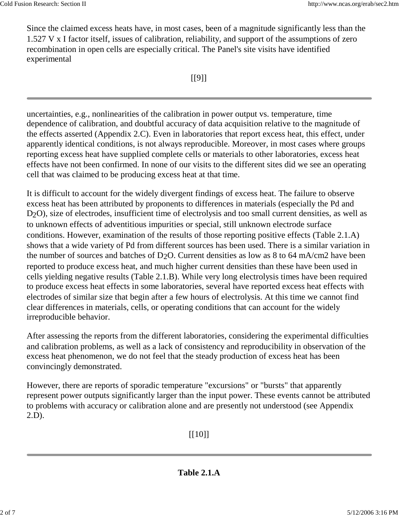Since the claimed excess heats have, in most cases, been of a magnitude significantly less than the 1.527 V x I factor itself, issues of calibration, reliability, and support of the assumptions of zero recombination in open cells are especially critical. The Panel's site visits have identified experimental

 $[$ [9]] $]$ 

uncertainties, e.g., nonlinearities of the calibration in power output vs. temperature, time dependence of calibration, and doubtful accuracy of data acquisition relative to the magnitude of the effects asserted (Appendix 2.C). Even in laboratories that report excess heat, this effect, under apparently identical conditions, is not always reproducible. Moreover, in most cases where groups reporting excess heat have supplied complete cells or materials to other laboratories, excess heat effects have not been confirmed. In none of our visits to the different sites did we see an operating cell that was claimed to be producing excess heat at that time.

It is difficult to account for the widely divergent findings of excess heat. The failure to observe excess heat has been attributed by proponents to differences in materials (especially the Pd and D2O), size of electrodes, insufficient time of electrolysis and too small current densities, as well as to unknown effects of adventitious impurities or special, still unknown electrode surface conditions. However, examination of the results of those reporting positive effects (Table 2.1.A) shows that a wide variety of Pd from different sources has been used. There is a similar variation in the number of sources and batches of  $D_2O$ . Current densities as low as 8 to 64 mA/cm2 have been reported to produce excess heat, and much higher current densities than these have been used in cells yielding negative results (Table 2.1.B). While very long electrolysis times have been required to produce excess heat effects in some laboratories, several have reported excess heat effects with electrodes of similar size that begin after a few hours of electrolysis. At this time we cannot find clear differences in materials, cells, or operating conditions that can account for the widely irreproducible behavior.

After assessing the reports from the different laboratories, considering the experimental difficulties and calibration problems, as well as a lack of consistency and reproducibility in observation of the excess heat phenomenon, we do not feel that the steady production of excess heat has been convincingly demonstrated.

However, there are reports of sporadic temperature "excursions" or "bursts" that apparently represent power outputs significantly larger than the input power. These events cannot be attributed to problems with accuracy or calibration alone and are presently not understood (see Appendix 2.D).

[[10]]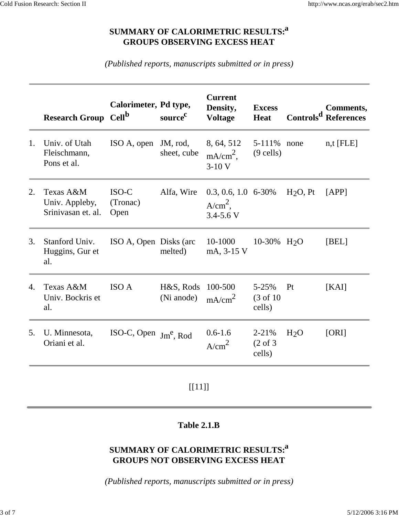#### **SUMMARY OF CALORIMETRIC RESULTS:<sup>a</sup> GROUPS OBSERVING EXCESS HEAT**

*(Published reports, manuscripts submitted or in press)*

| <b>Research Group</b>                             | Cell <sup>b</sup>           | source <sup>c</sup>     | <b>Current</b><br>Density,<br><b>Voltage</b>                            | <b>Excess</b><br><b>Heat</b>                |                         | Comments,<br>Controls <sup>d</sup> References |
|---------------------------------------------------|-----------------------------|-------------------------|-------------------------------------------------------------------------|---------------------------------------------|-------------------------|-----------------------------------------------|
| Univ. of Utah<br>Fleischmann,<br>Pons et al.      | ISO A, open                 | JM, rod,<br>sheet, cube | 8, 64, 512<br>$mA/cm2$ ,<br>$3-10V$                                     | 5-111%<br>$(9$ cells)                       | none                    | $n, t$ [FLE]                                  |
| Texas A&M<br>Univ. Appleby,<br>Srinivasan et. al. | $ISO-C$<br>(Tronac)<br>Open | Alfa, Wire              | $A/cm2$ ,<br>$3.4 - 5.6$ V                                              |                                             | H <sub>2</sub> O, Pt    | [APP]                                         |
| Stanford Univ.<br>Huggins, Gur et<br>al.          |                             | melted)                 | 10-1000<br>mA, 3-15 V                                                   |                                             |                         | [BEL]                                         |
| Texas A&M<br>Univ. Bockris et<br>al.              | <b>ISO A</b>                | H&S, Rods<br>(Ni anode) | 100-500<br>mA/cm <sup>2</sup>                                           | $5 - 25%$<br>$(3 \text{ of } 10)$<br>cells) | Pt                      | [KAI]                                         |
| U. Minnesota,<br>Oriani et al.                    | ISO-C, Open                 |                         | $0.6 - 1.6$<br>A/cm <sup>2</sup>                                        | $2 - 21%$<br>$(2 \text{ of } 3)$<br>cells)  | H <sub>2</sub> O        | [ORI]                                         |
|                                                   |                             |                         | Calorimeter, Pd type,<br>ISO A, Open Disks (arc)<br>$\text{Jm}^e$ , Rod |                                             | $0.3, 0.6, 1.0, 6-30\%$ | 10-30% H <sub>2</sub> O                       |

[[11]]

#### **Table 2.1.B**

#### **SUMMARY OF CALORIMETRIC RESULTS:<sup>a</sup> GROUPS NOT OBSERVING EXCESS HEAT**

*(Published reports, manuscripts submitted or in press)*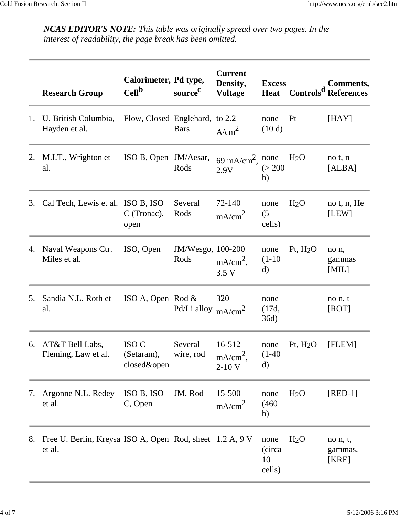*NCAS EDITOR'S NOTE: This table was originally spread over two pages. In the interest of readability, the page break has been omitted.*

|    | <b>Research Group</b>                                              | Calorimeter, Pd type,<br>Cell <sup>b</sup> | source <sup>c</sup>       | <b>Current</b><br>Density,<br><b>Voltage</b> | <b>Excess</b><br><b>Heat</b>   |                  | Comments,<br>Controls <sup>d</sup> References |
|----|--------------------------------------------------------------------|--------------------------------------------|---------------------------|----------------------------------------------|--------------------------------|------------------|-----------------------------------------------|
| 1. | U. British Columbia,<br>Hayden et al.                              | Flow, Closed Englehard, to 2.2             | <b>Bars</b>               | A/cm <sup>2</sup>                            | none<br>(10d)                  | Pt               | [HAY]                                         |
| 2. | M.I.T., Wrighton et<br>al.                                         | ISO B, Open JM/Aesar,                      | Rods                      | 69 mA/cm <sup>2</sup> , none<br>2.9V         | (> 200<br>h)                   | H <sub>2</sub> O | no t, n<br>[ALBA]                             |
| 3. | Cal Tech, Lewis et al. ISO B, ISO                                  | C (Tronac),<br>open                        | Several<br>Rods           | 72-140<br>mA/cm <sup>2</sup>                 | none<br>(5)<br>cells)          | H <sub>2</sub> O | no t, n, He<br>[LEW]                          |
| 4. | Naval Weapons Ctr.<br>Miles et al.                                 | ISO, Open                                  | JM/Wesgo, 100-200<br>Rods | $mA/cm2$ ,<br>3.5 <sub>V</sub>               | none<br>$(1-10)$<br>$\rm d)$   | Pt, $H2O$        | no n,<br>gammas<br>[MIL]                      |
| 5. | Sandia N.L. Roth et<br>al.                                         | ISO A, Open Rod $\&$                       | Pd/Li alloy $mA/cm^2$     | 320                                          | none<br>(17d,<br>36d)          |                  | no n, t<br>[ROT]                              |
| 6. | AT&T Bell Labs,<br>Fleming, Law et al.                             | ISO C<br>(Setaram),<br>closed&open         | Several<br>wire, rod      | 16-512<br>$mA/cm2$ ,<br>$2-10V$              | none<br>$(1-40)$<br>$\rm d$    | Pt, $H2O$        | [FLEM]                                        |
| 7. | Argonne N.L. Redey<br>et al.                                       | ISO B, ISO<br>C, Open                      | JM, Rod                   | 15-500<br>mA/cm <sup>2</sup>                 | none<br>(460)<br>h)            | H <sub>2</sub> O | $[RED-1]$                                     |
| 8. | Free U. Berlin, Kreysa ISO A, Open Rod, sheet 1.2 A, 9 V<br>et al. |                                            |                           |                                              | none<br>(circa<br>10<br>cells) | H <sub>2</sub> O | no n, t,<br>gammas,<br>[KRE]                  |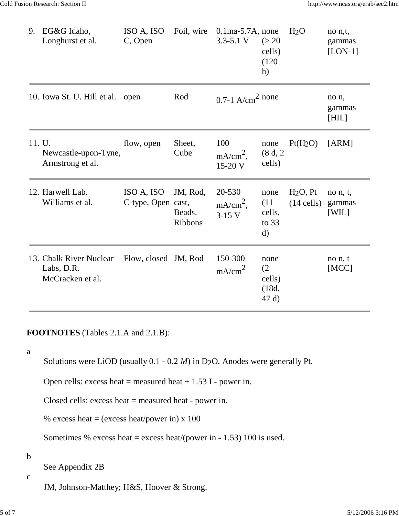| 9.     | EG&G Idaho,<br>Longhurst et al.                           | ISO A, ISO<br>C, Open            | Foil, wire                           | $0.1$ ma-5.7A, none<br>$3.3 - 5.1$ V | (> 20)<br>cells)<br>(120)<br>h)                   | H <sub>2</sub> O           | no n,t,<br>gammas<br>$[LON-1]$ |
|--------|-----------------------------------------------------------|----------------------------------|--------------------------------------|--------------------------------------|---------------------------------------------------|----------------------------|--------------------------------|
|        | 10. Iowa St. U. Hill et al.                               | open                             | Rod                                  | 0.7-1 $A/cm2$ none                   |                                                   |                            | no n,<br>gammas<br>[HIL]       |
| 11. U. | Newcastle-upon-Tyne,<br>Armstrong et al.                  | flow, open                       | Sheet,<br>Cube                       | 100<br>$mA/cm2$ ,<br>15-20 V         | none<br>(8 d, 2<br>cells)                         | $Pt(H_2O)$                 | [ARM]                          |
|        | 12. Harwell Lab.<br>Williams et al.                       | ISO A, ISO<br>C-type, Open cast, | JM, Rod,<br>Beads.<br><b>Ribbons</b> | 20-530<br>$mA/cm2$ ,<br>$3-15$ V     | none<br>(11)<br>cells,<br>to $33$<br>$\mathbf{d}$ | $H2O$ , Pt<br>$(14$ cells) | no n, t,<br>gammas<br>[WIL]    |
|        | 13. Chalk River Nuclear<br>Labs, D.R.<br>McCracken et al. | Flow, closed JM, Rod             |                                      | 150-300<br>mA/cm <sup>2</sup>        | none<br>(2)<br>cells)<br>(18d,<br>47 d)           |                            | no n, t<br>[MCC]               |

#### **FOOTNOTES** (Tables 2.1.A and 2.1.B):

a

Solutions were LiOD (usually 0.1 - 0.2 *M*) in D<sub>2</sub>O. Anodes were generally Pt.

Open cells: excess heat = measured heat  $+ 1.53$  I - power in.

Closed cells: excess heat = measured heat - power in.

% excess heat = (excess heat/power in)  $x$  100

Sometimes % excess heat = excess heat/(power in - 1.53) 100 is used.

b

See Appendix 2B

c

JM, Johnson-Matthey; H&S, Hoover & Strong.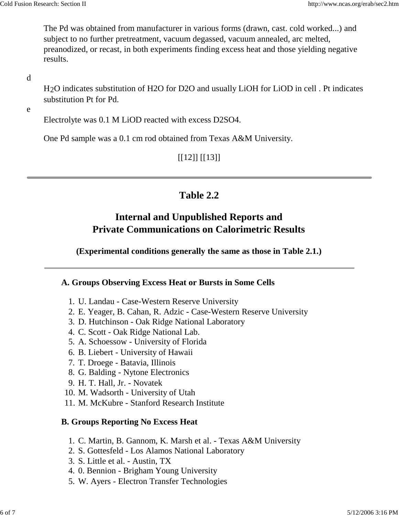The Pd was obtained from manufacturer in various forms (drawn, cast. cold worked...) and subject to no further pretreatment, vacuum degassed, vacuum annealed, arc melted, preanodized, or recast, in both experiments finding excess heat and those yielding negative results.

#### d

H2O indicates substitution of H2O for D2O and usually LiOH for LiOD in cell . Pt indicates substitution Pt for Pd.

#### e

Electrolyte was 0.1 M LiOD reacted with excess D2SO4.

One Pd sample was a 0.1 cm rod obtained from Texas A&M University.

#### [[12]] [[13]]

#### **Table 2.2**

### **Internal and Unpublished Reports and Private Communications on Calorimetric Results**

**(Experimental conditions generally the same as those in Table 2.1.)**

#### **A. Groups Observing Excess Heat or Bursts in Some Cells**

- 1. U. Landau Case-Western Reserve University
- 2. E. Yeager, B. Cahan, R. Adzic Case-Western Reserve University
- 3. D. Hutchinson Oak Ridge National Laboratory
- 4. C. Scott Oak Ridge National Lab.
- 5. A. Schoessow University of Florida
- 6. B. Liebert University of Hawaii
- 7. T. Droege Batavia, Illinois
- 8. G. Balding Nytone Electronics
- 9. H. T. Hall, Jr. Novatek
- 10. M. Wadsorth University of Utah
- 11. M. McKubre Stanford Research Institute

#### **B. Groups Reporting No Excess Heat**

- 1. C. Martin, B. Gannom, K. Marsh et al. Texas A&M University
- 2. S. Gottesfeld Los Alamos National Laboratory
- 3. S. Little et al. Austin, TX
- 4. 0. Bennion Brigham Young University
- 5. W. Ayers Electron Transfer Technologies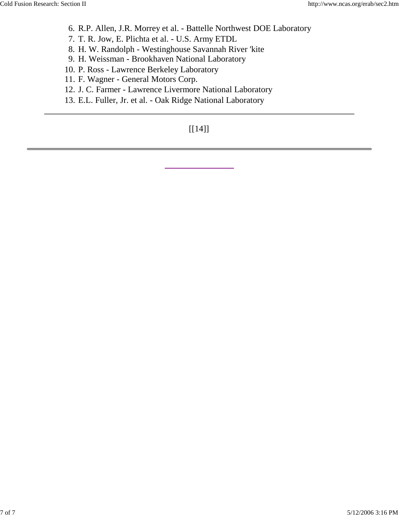- 6. R.P. Allen, J.R. Morrey et al. Battelle Northwest DOE Laboratory
- 7. T. R. Jow, E. Plichta et al. U.S. Army ETDL
- 8. H. W. Randolph Westinghouse Savannah River 'kite
- 9. H. Weissman Brookhaven National Laboratory
- 10. P. Ross Lawrence Berkeley Laboratory
- 11. F. Wagner General Motors Corp.
- 12. J. C. Farmer Lawrence Livermore National Laboratory
- 13. E.L. Fuller, Jr. et al. Oak Ridge National Laboratory

#### [[14]]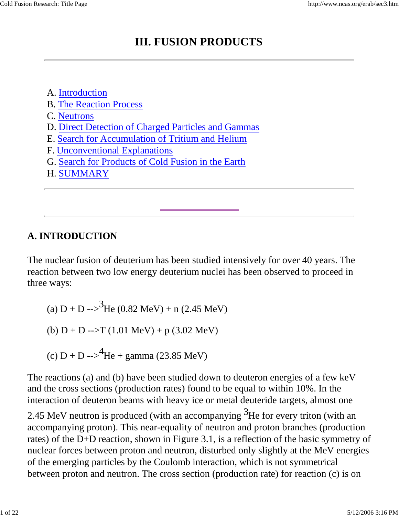## **III. FUSION PRODUCTS**

A. Introduction B. The Reaction Process C. Neutrons D. Direct Detection of Charged Particles and Gammas E. Search for Accumulation of Tritium and Helium F. Unconventional Explanations

- G. Search for Products of Cold Fusion in the Earth
- H. SUMMARY

### **A. INTRODUCTION**

The nuclear fusion of deuterium has been studied intensively for over 40 years. The reaction between two low energy deuterium nuclei has been observed to proceed in three ways:

(a) D + D 
$$
\rightarrow
$$
<sup>3</sup>He (0.82 MeV) + n (2.45 MeV)  
(b) D + D  $\rightarrow$  T (1.01 MeV) + p (3.02 MeV)  
(c) D + D  $\rightarrow$ <sup>4</sup>He + gamma (23.85 MeV)

The reactions (a) and (b) have been studied down to deuteron energies of a few keV and the cross sections (production rates) found to be equal to within 10%. In the interaction of deuteron beams with heavy ice or metal deuteride targets, almost one

2.45 MeV neutron is produced (with an accompanying  $3H$ e for every triton (with an accompanying proton). This near-equality of neutron and proton branches (production rates) of the D+D reaction, shown in Figure 3.1, is a reflection of the basic symmetry of nuclear forces between proton and neutron, disturbed only slightly at the MeV energies of the emerging particles by the Coulomb interaction, which is not symmetrical between proton and neutron. The cross section (production rate) for reaction (c) is on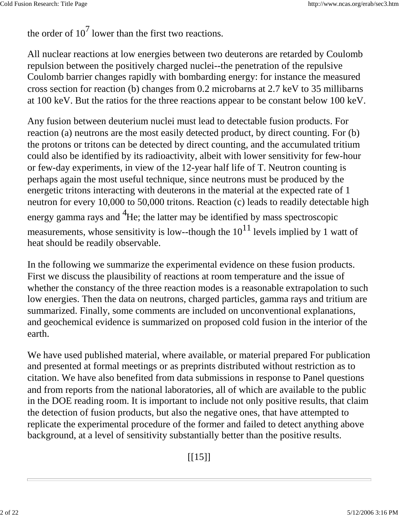the order of  $10^7$  lower than the first two reactions.

All nuclear reactions at low energies between two deuterons are retarded by Coulomb repulsion between the positively charged nuclei--the penetration of the repulsive Coulomb barrier changes rapidly with bombarding energy: for instance the measured cross section for reaction (b) changes from 0.2 microbarns at 2.7 keV to 35 millibarns at 100 keV. But the ratios for the three reactions appear to be constant below 100 keV.

Any fusion between deuterium nuclei must lead to detectable fusion products. For reaction (a) neutrons are the most easily detected product, by direct counting. For (b) the protons or tritons can be detected by direct counting, and the accumulated tritium could also be identified by its radioactivity, albeit with lower sensitivity for few-hour or few-day experiments, in view of the 12-year half life of T. Neutron counting is perhaps again the most useful technique, since neutrons must be produced by the energetic tritons interacting with deuterons in the material at the expected rate of 1 neutron for every 10,000 to 50,000 tritons. Reaction (c) leads to readily detectable high energy gamma rays and <sup>4</sup>He; the latter may be identified by mass spectroscopic measurements, whose sensitivity is low--though the  $10^{11}$  levels implied by 1 watt of heat should be readily observable.

In the following we summarize the experimental evidence on these fusion products. First we discuss the plausibility of reactions at room temperature and the issue of whether the constancy of the three reaction modes is a reasonable extrapolation to such low energies. Then the data on neutrons, charged particles, gamma rays and tritium are summarized. Finally, some comments are included on unconventional explanations, and geochemical evidence is summarized on proposed cold fusion in the interior of the earth.

We have used published material, where available, or material prepared For publication and presented at formal meetings or as preprints distributed without restriction as to citation. We have also benefited from data submissions in response to Panel questions and from reports from the national laboratories, all of which are available to the public in the DOE reading room. It is important to include not only positive results, that claim the detection of fusion products, but also the negative ones, that have attempted to replicate the experimental procedure of the former and failed to detect anything above background, at a level of sensitivity substantially better than the positive results.

 $[15]$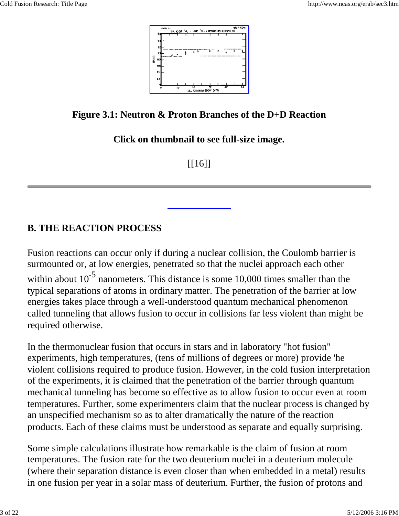

**Figure 3.1: Neutron & Proton Branches of the D+D Reaction**

**Click on thumbnail to see full-size image.**

 $[16]$ 

### **B. THE REACTION PROCESS**

Fusion reactions can occur only if during a nuclear collision, the Coulomb barrier is surmounted or, at low energies, penetrated so that the nuclei approach each other within about  $10^{-5}$  nanometers. This distance is some 10,000 times smaller than the typical separations of atoms in ordinary matter. The penetration of the barrier at low energies takes place through a well-understood quantum mechanical phenomenon called tunneling that allows fusion to occur in collisions far less violent than might be required otherwise.

In the thermonuclear fusion that occurs in stars and in laboratory "hot fusion" experiments, high temperatures, (tens of millions of degrees or more) provide 'he violent collisions required to produce fusion. However, in the cold fusion interpretation of the experiments, it is claimed that the penetration of the barrier through quantum mechanical tunneling has become so effective as to allow fusion to occur even at room temperatures. Further, some experimenters claim that the nuclear process is changed by an unspecified mechanism so as to alter dramatically the nature of the reaction products. Each of these claims must be understood as separate and equally surprising.

Some simple calculations illustrate how remarkable is the claim of fusion at room temperatures. The fusion rate for the two deuterium nuclei in a deuterium molecule (where their separation distance is even closer than when embedded in a metal) results in one fusion per year in a solar mass of deuterium. Further, the fusion of protons and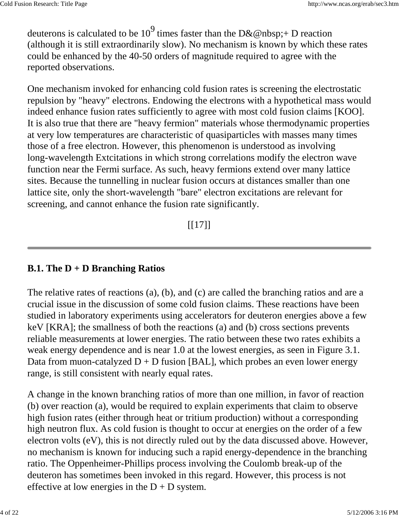deuterons is calculated to be  $10^9$  times faster than the D&@nbsp;+ D reaction (although it is still extraordinarily slow). No mechanism is known by which these rates could be enhanced by the 40-50 orders of magnitude required to agree with the reported observations.

One mechanism invoked for enhancing cold fusion rates is screening the electrostatic repulsion by "heavy" electrons. Endowing the electrons with a hypothetical mass would indeed enhance fusion rates sufficiently to agree with most cold fusion claims [KOO]. It is also true that there are "heavy fermion" materials whose thermodynamic properties at very low temperatures are characteristic of quasiparticles with masses many times those of a free electron. However, this phenomenon is understood as involving long-wavelength Extcitations in which strong correlations modify the electron wave function near the Fermi surface. As such, heavy fermions extend over many lattice sites. Because the tunnelling in nuclear fusion occurs at distances smaller than one lattice site, only the short-wavelength "bare" electron excitations are relevant for screening, and cannot enhance the fusion rate significantly.

 $[17]$ ]

#### **B.1. The D + D Branching Ratios**

The relative rates of reactions (a), (b), and (c) are called the branching ratios and are a crucial issue in the discussion of some cold fusion claims. These reactions have been studied in laboratory experiments using accelerators for deuteron energies above a few keV [KRA]; the smallness of both the reactions (a) and (b) cross sections prevents reliable measurements at lower energies. The ratio between these two rates exhibits a weak energy dependence and is near 1.0 at the lowest energies, as seen in Figure 3.1. Data from muon-catalyzed  $D + D$  fusion [BAL], which probes an even lower energy range, is still consistent with nearly equal rates.

A change in the known branching ratios of more than one million, in favor of reaction (b) over reaction (a), would be required to explain experiments that claim to observe high fusion rates (either through heat or tritium production) without a corresponding high neutron flux. As cold fusion is thought to occur at energies on the order of a few electron volts (eV), this is not directly ruled out by the data discussed above. However, no mechanism is known for inducing such a rapid energy-dependence in the branching ratio. The Oppenheimer-Phillips process involving the Coulomb break-up of the deuteron has sometimes been invoked in this regard. However, this process is not effective at low energies in the  $D + D$  system.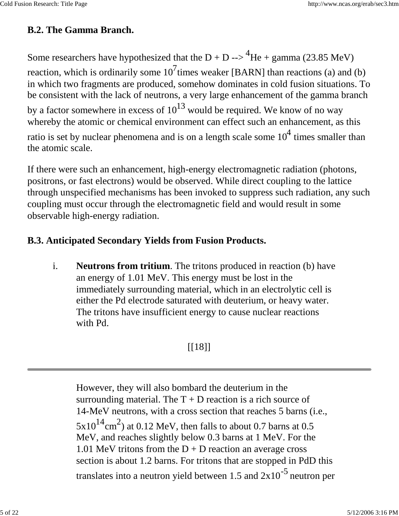### **B.2. The Gamma Branch.**

Some researchers have hypothesized that the D + D -->  $^{4}$ He + gamma (23.85 MeV) reaction, which is ordinarily some  $10^7$ times weaker [BARN] than reactions (a) and (b) in which two fragments are produced, somehow dominates in cold fusion situations. To be consistent with the lack of neutrons, a very large enhancement of the gamma branch by a factor somewhere in excess of  $10^{13}$  would be required. We know of no way whereby the atomic or chemical environment can effect such an enhancement, as this

ratio is set by nuclear phenomena and is on a length scale some  $10^4$  times smaller than the atomic scale.

If there were such an enhancement, high-energy electromagnetic radiation (photons, positrons, or fast electrons) would be observed. While direct coupling to the lattice through unspecified mechanisms has been invoked to suppress such radiation, any such coupling must occur through the electromagnetic field and would result in some observable high-energy radiation.

### **B.3. Anticipated Secondary Yields from Fusion Products.**

i. **Neutrons from tritium**. The tritons produced in reaction (b) have an energy of 1.01 MeV. This energy must be lost in the immediately surrounding material, which in an electrolytic cell is either the Pd electrode saturated with deuterium, or heavy water. The tritons have insufficient energy to cause nuclear reactions with Pd.

## $[18]$ ]

However, they will also bombard the deuterium in the surrounding material. The  $T + D$  reaction is a rich source of 14-MeV neutrons, with a cross section that reaches 5 barns (i.e.,  $5x10^{14}$ cm<sup>2</sup>) at 0.12 MeV, then falls to about 0.7 barns at 0.5 MeV, and reaches slightly below 0.3 barns at 1 MeV. For the 1.01 MeV tritons from the  $D + D$  reaction an average cross section is about 1.2 barns. For tritons that are stopped in PdD this translates into a neutron yield between 1.5 and  $2x10^{-5}$  neutron per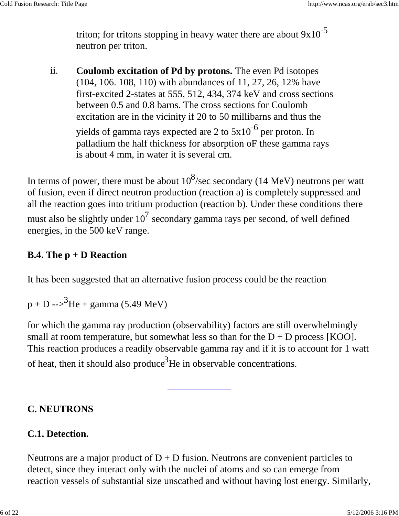triton; for tritons stopping in heavy water there are about  $9x10^{-5}$ neutron per triton.

ii. **Coulomb excitation of Pd by protons.** The even Pd isotopes (104, 106. 108, 110) with abundances of 11, 27, 26, 12% have first-excited 2-states at 555, 512, 434, 374 keV and cross sections between 0.5 and 0.8 barns. The cross sections for Coulomb excitation are in the vicinity if 20 to 50 millibarns and thus the

yields of gamma rays expected are 2 to  $5x10^{-6}$  per proton. In palladium the half thickness for absorption oF these gamma rays is about 4 mm, in water it is several cm.

In terms of power, there must be about  $10^8$ /sec secondary (14 MeV) neutrons per watt of fusion, even if direct neutron production (reaction a) is completely suppressed and all the reaction goes into tritium production (reaction b). Under these conditions there must also be slightly under  $10^7$  secondary gamma rays per second, of well defined energies, in the 500 keV range.

#### **B.4. The p + D Reaction**

It has been suggested that an alternative fusion process could be the reaction

 $p + D \rightarrow^{3}$ He + gamma (5.49 MeV)

for which the gamma ray production (observability) factors are still overwhelmingly small at room temperature, but somewhat less so than for the  $D + D$  process [KOO]. This reaction produces a readily observable gamma ray and if it is to account for 1 watt of heat, then it should also produce<sup>3</sup>He in observable concentrations.

#### **C. NEUTRONS**

#### **C.1. Detection.**

Neutrons are a major product of  $D + D$  fusion. Neutrons are convenient particles to detect, since they interact only with the nuclei of atoms and so can emerge from reaction vessels of substantial size unscathed and without having lost energy. Similarly,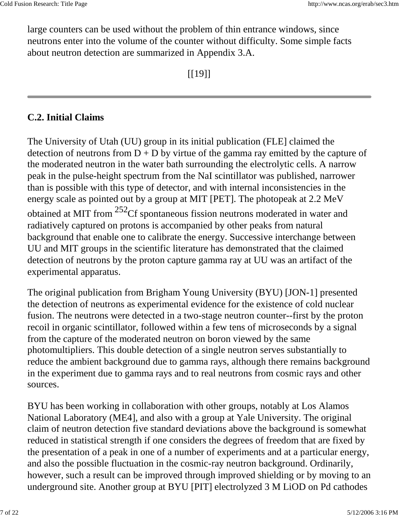large counters can be used without the problem of thin entrance windows, since neutrons enter into the volume of the counter without difficulty. Some simple facts about neutron detection are summarized in Appendix 3.A.

 $[19]$ 

### **C.2. Initial Claims**

The University of Utah (UU) group in its initial publication (FLE] claimed the detection of neutrons from  $D + D$  by virtue of the gamma ray emitted by the capture of the moderated neutron in the water bath surrounding the electrolytic cells. A narrow peak in the pulse-height spectrum from the NaI scintillator was published, narrower than is possible with this type of detector, and with internal inconsistencies in the energy scale as pointed out by a group at MIT [PET]. The photopeak at 2.2 MeV obtained at MIT from <sup>252</sup>Cf spontaneous fission neutrons moderated in water and radiatively captured on protons is accompanied by other peaks from natural background that enable one to calibrate the energy. Successive interchange between UU and MIT groups in the scientific literature has demonstrated that the claimed detection of neutrons by the proton capture gamma ray at UU was an artifact of the experimental apparatus.

The original publication from Brigham Young University (BYU) [JON-1] presented the detection of neutrons as experimental evidence for the existence of cold nuclear fusion. The neutrons were detected in a two-stage neutron counter--first by the proton recoil in organic scintillator, followed within a few tens of microseconds by a signal from the capture of the moderated neutron on boron viewed by the same photomultipliers. This double detection of a single neutron serves substantially to reduce the ambient background due to gamma rays, although there remains background in the experiment due to gamma rays and to real neutrons from cosmic rays and other sources.

BYU has been working in collaboration with other groups, notably at Los Alamos National Laboratory (ME4], and also with a group at Yale University. The original claim of neutron detection five standard deviations above the background is somewhat reduced in statistical strength if one considers the degrees of freedom that are fixed by the presentation of a peak in one of a number of experiments and at a particular energy, and also the possible fluctuation in the cosmic-ray neutron background. Ordinarily, however, such a result can be improved through improved shielding or by moving to an underground site. Another group at BYU [PIT] electrolyzed 3 M LiOD on Pd cathodes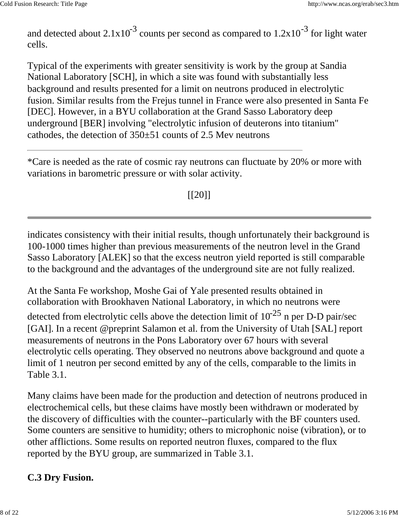and detected about  $2.1x10^{-3}$  counts per second as compared to  $1.2x10^{-3}$  for light water cells.

Typical of the experiments with greater sensitivity is work by the group at Sandia National Laboratory [SCH], in which a site was found with substantially less background and results presented for a limit on neutrons produced in electrolytic fusion. Similar results from the Frejus tunnel in France were also presented in Santa Fe [DEC]. However, in a BYU collaboration at the Grand Sasso Laboratory deep underground [BER] involving "electrolytic infusion of deuterons into titanium" cathodes, the detection of  $350\pm51$  counts of 2.5 Mev neutrons

\*Care is needed as the rate of cosmic ray neutrons can fluctuate by 20% or more with variations in barometric pressure or with solar activity.

 $[$ [ $20$ ]]

indicates consistency with their initial results, though unfortunately their background is 100-1000 times higher than previous measurements of the neutron level in the Grand Sasso Laboratory [ALEK] so that the excess neutron yield reported is still comparable to the background and the advantages of the underground site are not fully realized.

At the Santa Fe workshop, Moshe Gai of Yale presented results obtained in collaboration with Brookhaven National Laboratory, in which no neutrons were

detected from electrolytic cells above the detection limit of  $10^{-25}$  n per D-D pair/sec [GAI]. In a recent @preprint Salamon et al. from the University of Utah [SAL] report measurements of neutrons in the Pons Laboratory over 67 hours with several electrolytic cells operating. They observed no neutrons above background and quote a limit of 1 neutron per second emitted by any of the cells, comparable to the limits in Table 3.1.

Many claims have been made for the production and detection of neutrons produced in electrochemical cells, but these claims have mostly been withdrawn or moderated by the discovery of difficulties with the counter--particularly with the BF counters used. Some counters are sensitive to humidity; others to microphonic noise (vibration), or to other afflictions. Some results on reported neutron fluxes, compared to the flux reported by the BYU group, are summarized in Table 3.1.

## **C.3 Dry Fusion.**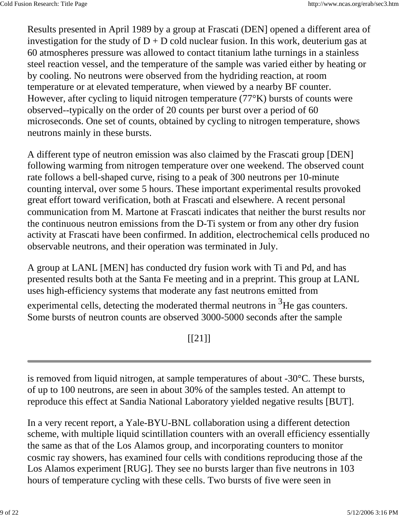Results presented in April 1989 by a group at Frascati (DEN] opened a different area of investigation for the study of  $D + D$  cold nuclear fusion. In this work, deuterium gas at 60 atmospheres pressure was allowed to contact titanium lathe turnings in a stainless steel reaction vessel, and the temperature of the sample was varied either by heating or by cooling. No neutrons were observed from the hydriding reaction, at room temperature or at elevated temperature, when viewed by a nearby BF counter. However, after cycling to liquid nitrogen temperature (77°K) bursts of counts were observed--typically on the order of 20 counts per burst over a period of 60 microseconds. One set of counts, obtained by cycling to nitrogen temperature, shows neutrons mainly in these bursts.

A different type of neutron emission was also claimed by the Frascati group [DEN] following warming from nitrogen temperature over one weekend. The observed count rate follows a bell-shaped curve, rising to a peak of 300 neutrons per 10-minute counting interval, over some 5 hours. These important experimental results provoked great effort toward verification, both at Frascati and elsewhere. A recent personal communication from M. Martone at Frascati indicates that neither the burst results nor the continuous neutron emissions from the D-Ti system or from any other dry fusion activity at Frascati have been confirmed. In addition, electrochemical cells produced no observable neutrons, and their operation was terminated in July.

A group at LANL [MEN] has conducted dry fusion work with Ti and Pd, and has presented results both at the Santa Fe meeting and in a preprint. This group at LANL uses high-efficiency systems that moderate any fast neutrons emitted from

experimental cells, detecting the moderated thermal neutrons in  $3H$ e gas counters. Some bursts of neutron counts are observed 3000-5000 seconds after the sample

## [[21]]

is removed from liquid nitrogen, at sample temperatures of about -30°C. These bursts, of up to 100 neutrons, are seen in about 30% of the samples tested. An attempt to reproduce this effect at Sandia National Laboratory yielded negative results [BUT].

In a very recent report, a Yale-BYU-BNL collaboration using a different detection scheme, with multiple liquid scintillation counters with an overall efficiency essentially the same as that of the Los Alamos group, and incorporating counters to monitor cosmic ray showers, has examined four cells with conditions reproducing those af the Los Alamos experiment [RUG]. They see no bursts larger than five neutrons in 103 hours of temperature cycling with these cells. Two bursts of five were seen in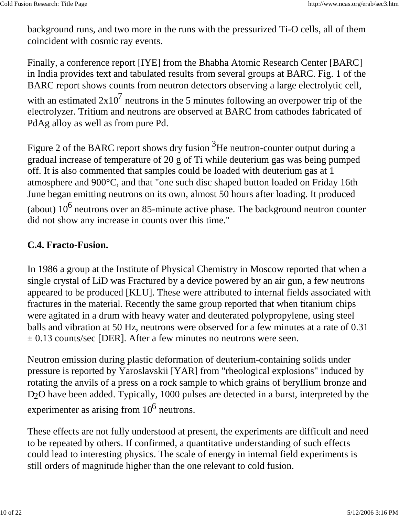background runs, and two more in the runs with the pressurized Ti-O cells, all of them coincident with cosmic ray events.

Finally, a conference report [IYE] from the Bhabha Atomic Research Center [BARC] in India provides text and tabulated results from several groups at BARC. Fig. 1 of the BARC report shows counts from neutron detectors observing a large electrolytic cell, with an estimated  $2x10^7$  neutrons in the 5 minutes following an overpower trip of the electrolyzer. Tritium and neutrons are observed at BARC from cathodes fabricated of PdAg alloy as well as from pure Pd.

Figure 2 of the BARC report shows dry fusion  $3$ He neutron-counter output during a gradual increase of temperature of 20 g of Ti while deuterium gas was being pumped off. It is also commented that samples could be loaded with deuterium gas at 1 atmosphere and 900°C, and that "one such disc shaped button loaded on Friday 16th June began emitting neutrons on its own, almost 50 hours after loading. It produced (about)  $10^6$  neutrons over an 85-minute active phase. The background neutron counter did not show any increase in counts over this time."

## **C.4. Fracto-Fusion.**

In 1986 a group at the Institute of Physical Chemistry in Moscow reported that when a single crystal of LiD was Fractured by a device powered by an air gun, a few neutrons appeared to be produced [KLU]. These were attributed to internal fields associated with fractures in the material. Recently the same group reported that when titanium chips were agitated in a drum with heavy water and deuterated polypropylene, using steel balls and vibration at 50 Hz, neutrons were observed for a few minutes at a rate of 0.31  $\pm$  0.13 counts/sec [DER]. After a few minutes no neutrons were seen.

Neutron emission during plastic deformation of deuterium-containing solids under pressure is reported by Yaroslavskii [YAR] from "rheological explosions" induced by rotating the anvils of a press on a rock sample to which grains of beryllium bronze and D<sub>2</sub>O have been added. Typically, 1000 pulses are detected in a burst, interpreted by the experimenter as arising from  $10^6$  neutrons.

These effects are not fully understood at present, the experiments are difficult and need to be repeated by others. If confirmed, a quantitative understanding of such effects could lead to interesting physics. The scale of energy in internal field experiments is still orders of magnitude higher than the one relevant to cold fusion.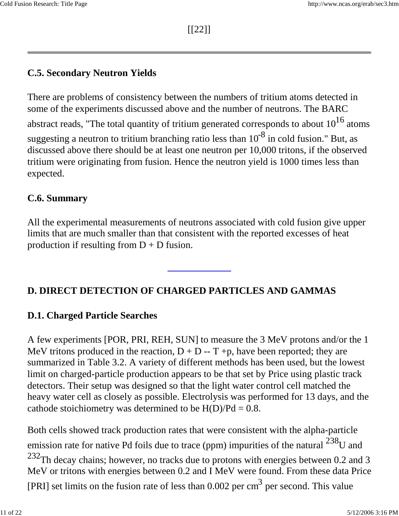[[22]]

## **C.5. Secondary Neutron Yields**

There are problems of consistency between the numbers of tritium atoms detected in some of the experiments discussed above and the number of neutrons. The BARC abstract reads, "The total quantity of tritium generated corresponds to about  $10^{16}$  atoms suggesting a neutron to tritium branching ratio less than  $10^{-8}$  in cold fusion." But, as discussed above there should be at least one neutron per 10,000 tritons, if the observed tritium were originating from fusion. Hence the neutron yield is 1000 times less than expected.

## **C.6. Summary**

All the experimental measurements of neutrons associated with cold fusion give upper limits that are much smaller than that consistent with the reported excesses of heat production if resulting from  $D + D$  fusion.

# **D. DIRECT DETECTION OF CHARGED PARTICLES AND GAMMAS**

## **D.1. Charged Particle Searches**

A few experiments [POR, PRI, REH, SUN] to measure the 3 MeV protons and/or the 1 MeV tritons produced in the reaction,  $D + D - T + p$ , have been reported; they are summarized in Table 3.2. A variety of different methods has been used, but the lowest limit on charged-particle production appears to be that set by Price using plastic track detectors. Their setup was designed so that the light water control cell matched the heavy water cell as closely as possible. Electrolysis was performed for 13 days, and the cathode stoichiometry was determined to be  $H(D)/Pd = 0.8$ .

Both cells showed track production rates that were consistent with the alpha-particle emission rate for native Pd foils due to trace (ppm) impurities of the natural  $^{238}$ U and  $232$ Th decay chains; however, no tracks due to protons with energies between 0.2 and 3 MeV or tritons with energies between 0.2 and I MeV were found. From these data Price [PRI] set limits on the fusion rate of less than  $0.002$  per cm<sup>3</sup> per second. This value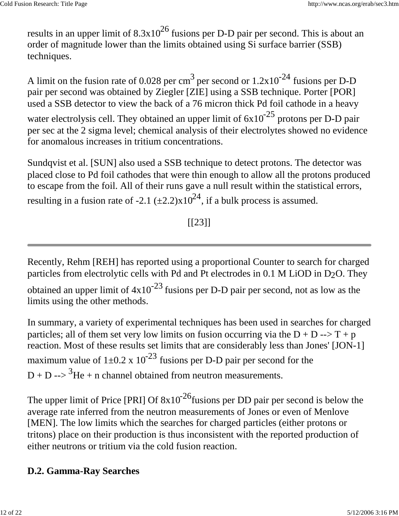results in an upper limit of  $8.3x10^{26}$  fusions per D-D pair per second. This is about an order of magnitude lower than the limits obtained using Si surface barrier (SSB) techniques.

A limit on the fusion rate of 0.028 per cm<sup>3</sup> per second or  $1.2x10^{-24}$  fusions per D-D pair per second was obtained by Ziegler [ZIE] using a SSB technique. Porter [POR] used a SSB detector to view the back of a 76 micron thick Pd foil cathode in a heavy water electrolysis cell. They obtained an upper limit of  $6x10^{-25}$  protons per D-D pair per sec at the 2 sigma level; chemical analysis of their electrolytes showed no evidence for anomalous increases in tritium concentrations.

Sundqvist et al. [SUN] also used a SSB technique to detect protons. The detector was placed close to Pd foil cathodes that were thin enough to allow all the protons produced to escape from the foil. All of their runs gave a null result within the statistical errors, resulting in a fusion rate of -2.1  $(\pm 2.2)x10^{24}$ , if a bulk process is assumed.

# $[ [23] ]$

Recently, Rehm [REH] has reported using a proportional Counter to search for charged particles from electrolytic cells with Pd and Pt electrodes in  $0.1$  M LiOD in D<sub>2</sub>O. They obtained an upper limit of  $4x10^{-23}$  fusions per D-D pair per second, not as low as the limits using the other methods.

In summary, a variety of experimental techniques has been used in searches for charged particles; all of them set very low limits on fusion occurring via the  $D + D \rightarrow T + p$ reaction. Most of these results set limits that are considerably less than Jones' [JON-1] maximum value of  $1\pm 0.2 \times 10^{-23}$  fusions per D-D pair per second for the  $D + D \rightarrow$  3He + n channel obtained from neutron measurements.

The upper limit of Price [PRI] Of  $8x10^{-26}$  fusions per DD pair per second is below the average rate inferred from the neutron measurements of Jones or even of Menlove [MEN]. The low limits which the searches for charged particles (either protons or tritons) place on their production is thus inconsistent with the reported production of either neutrons or tritium via the cold fusion reaction.

## **D.2. Gamma-Ray Searches**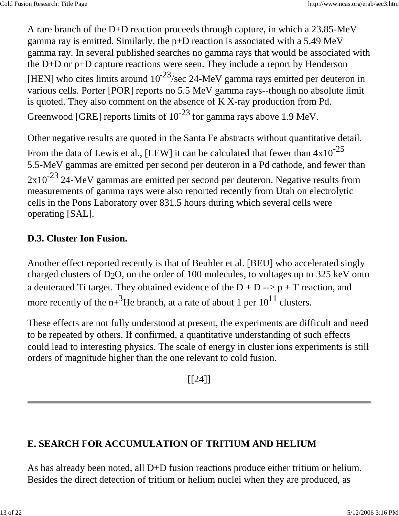A rare branch of the D+D reaction proceeds through capture, in which a 23.85-MeV gamma ray is emitted. Similarly, the p+D reaction is associated with a 5.49 MeV gamma ray. In several published searches no gamma rays that would be associated with the D+D or p+D capture reactions were seen. They include a report by Henderson [HEN] who cites limits around  $10^{-23}$ /sec 24-MeV gamma rays emitted per deuteron in various cells. Porter [POR] reports no 5.5 MeV gamma rays--though no absolute limit is quoted. They also comment on the absence of K X-ray production from Pd. Greenwood [GRE] reports limits of  $10^{-23}$  for gamma rays above 1.9 MeV.

Other negative results are quoted in the Santa Fe abstracts without quantitative detail. From the data of Lewis et al., [LEW] it can be calculated that fewer than  $4x10^{-25}$ 5.5-MeV gammas are emitted per second per deuteron in a Pd cathode, and fewer than  $2x10^{-23}$  24-MeV gammas are emitted per second per deuteron. Negative results from measurements of gamma rays were also reported recently from Utah on electrolytic cells in the Pons Laboratory over 831.5 hours during which several cells were operating [SAL].

## **D.3. Cluster Ion Fusion.**

Another effect reported recently is that of Beuhler et al. [BEU] who accelerated singly charged clusters of D2O, on the order of 100 molecules, to voltages up to 325 keV onto a deuterated Ti target. They obtained evidence of the  $D + D \rightarrow p + T$  reaction, and more recently of the  $n^{3}$ He branch, at a rate of about 1 per  $10^{11}$  clusters.

These effects are not fully understood at present, the experiments are difficult and need to be repeated by others. If confirmed, a quantitative understanding of such effects could lead to interesting physics. The scale of energy in cluster ions experiments is still orders of magnitude higher than the one relevant to cold fusion.

[[24]]

## **E. SEARCH FOR ACCUMULATION OF TRITIUM AND HELIUM**

As has already been noted, all D+D fusion reactions produce either tritium or helium. Besides the direct detection of tritium or helium nuclei when they are produced, as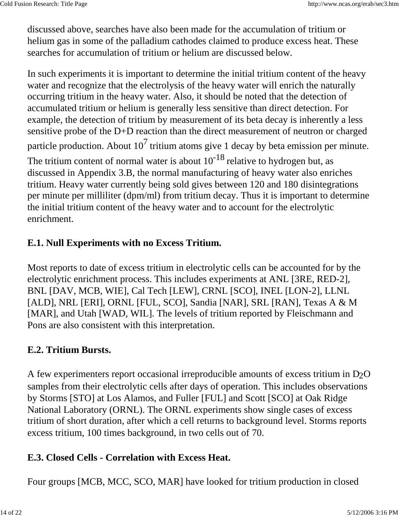discussed above, searches have also been made for the accumulation of tritium or helium gas in some of the palladium cathodes claimed to produce excess heat. These searches for accumulation of tritium or helium are discussed below.

In such experiments it is important to determine the initial tritium content of the heavy water and recognize that the electrolysis of the heavy water will enrich the naturally occurring tritium in the heavy water. Also, it should be noted that the detection of accumulated tritium or helium is generally less sensitive than direct detection. For example, the detection of tritium by measurement of its beta decay is inherently a less sensitive probe of the D+D reaction than the direct measurement of neutron or charged particle production. About  $10^7$  tritium atoms give 1 decay by beta emission per minute. The tritium content of normal water is about  $10^{-18}$  relative to hydrogen but, as discussed in Appendix 3.B, the normal manufacturing of heavy water also enriches tritium. Heavy water currently being sold gives between 120 and 180 disintegrations per minute per milliliter (dpm/ml) from tritium decay. Thus it is important to determine the initial tritium content of the heavy water and to account for the electrolytic enrichment.

## **E.1. Null Experiments with no Excess Tritium.**

Most reports to date of excess tritium in electrolytic cells can be accounted for by the electrolytic enrichment process. This includes experiments at ANL [3RE, RED-2], BNL [DAV, MCB, WIE], Cal Tech [LEW], CRNL [SCO], INEL [LON-2], LLNL [ALD], NRL [ERI], ORNL [FUL, SCO], Sandia [NAR], SRL [RAN], Texas A & M [MAR], and Utah [WAD, WIL]. The levels of tritium reported by Fleischmann and Pons are also consistent with this interpretation.

## **E.2. Tritium Bursts.**

A few experimenters report occasional irreproducible amounts of excess tritium in D2O samples from their electrolytic cells after days of operation. This includes observations by Storms [STO] at Los Alamos, and Fuller [FUL] and Scott [SCO] at Oak Ridge National Laboratory (ORNL). The ORNL experiments show single cases of excess tritium of short duration, after which a cell returns to background level. Storms reports excess tritium, 100 times background, in two cells out of 70.

## **E.3. Closed Cells - Correlation with Excess Heat.**

Four groups [MCB, MCC, SCO, MAR] have looked for tritium production in closed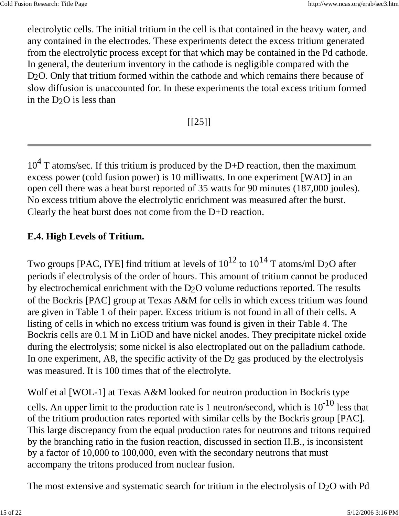electrolytic cells. The initial tritium in the cell is that contained in the heavy water, and any contained in the electrodes. These experiments detect the excess tritium generated from the electrolytic process except for that which may be contained in the Pd cathode. In general, the deuterium inventory in the cathode is negligible compared with the D<sub>2</sub>O. Only that tritium formed within the cathode and which remains there because of slow diffusion is unaccounted for. In these experiments the total excess tritium formed in the  $D_2O$  is less than

 $[$ [25]]

 $10<sup>4</sup>$  T atoms/sec. If this tritium is produced by the D+D reaction, then the maximum excess power (cold fusion power) is 10 milliwatts. In one experiment [WAD] in an open cell there was a heat burst reported of 35 watts for 90 minutes (187,000 joules). No excess tritium above the electrolytic enrichment was measured after the burst. Clearly the heat burst does not come from the D+D reaction.

## **E.4. High Levels of Tritium.**

Two groups [PAC, IYE] find tritium at levels of  $10^{12}$  to  $10^{14}$  T atoms/ml D<sub>2</sub>O after periods if electrolysis of the order of hours. This amount of tritium cannot be produced by electrochemical enrichment with the D2O volume reductions reported. The results of the Bockris [PAC] group at Texas A&M for cells in which excess tritium was found are given in Table 1 of their paper. Excess tritium is not found in all of their cells. A listing of cells in which no excess tritium was found is given in their Table 4. The Bockris cells are 0.1 M in LiOD and have nickel anodes. They precipitate nickel oxide during the electrolysis; some nickel is also electroplated out on the palladium cathode. In one experiment, A8, the specific activity of the  $D_2$  gas produced by the electrolysis was measured. It is 100 times that of the electrolyte.

Wolf et al [WOL-1] at Texas A&M looked for neutron production in Bockris type cells. An upper limit to the production rate is 1 neutron/second, which is  $10^{-10}$  less that of the tritium production rates reported with similar cells by the Bockris group [PAC]. This large discrepancy from the equal production rates for neutrons and tritons required by the branching ratio in the fusion reaction, discussed in section II.B., is inconsistent by a factor of 10,000 to 100,000, even with the secondary neutrons that must accompany the tritons produced from nuclear fusion.

The most extensive and systematic search for tritium in the electrolysis of D2O with Pd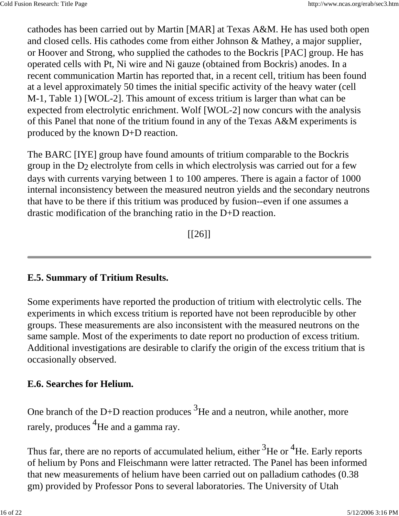cathodes has been carried out by Martin [MAR] at Texas A&M. He has used both open and closed cells. His cathodes come from either Johnson & Mathey, a major supplier, or Hoover and Strong, who supplied the cathodes to the Bockris [PAC] group. He has operated cells with Pt, Ni wire and Ni gauze (obtained from Bockris) anodes. In a recent communication Martin has reported that, in a recent cell, tritium has been found at a level approximately 50 times the initial specific activity of the heavy water (cell M-1, Table 1) [WOL-2]. This amount of excess tritium is larger than what can be expected from electrolytic enrichment. Wolf [WOL-2] now concurs with the analysis of this Panel that none of the tritium found in any of the Texas A&M experiments is produced by the known D+D reaction.

The BARC [IYE] group have found amounts of tritium comparable to the Bockris group in the D2 electrolyte from cells in which electrolysis was carried out for a few days with currents varying between 1 to 100 amperes. There is again a factor of 1000 internal inconsistency between the measured neutron yields and the secondary neutrons that have to be there if this tritium was produced by fusion--even if one assumes a drastic modification of the branching ratio in the D+D reaction.

 $[26]$ 

## **E.5. Summary of Tritium Results.**

Some experiments have reported the production of tritium with electrolytic cells. The experiments in which excess tritium is reported have not been reproducible by other groups. These measurements are also inconsistent with the measured neutrons on the same sample. Most of the experiments to date report no production of excess tritium. Additional investigations are desirable to clarify the origin of the excess tritium that is occasionally observed.

### **E.6. Searches for Helium.**

One branch of the D+D reaction produces  $3$ He and a neutron, while another, more rarely, produces  ${}^{4}$ He and a gamma ray.

Thus far, there are no reports of accumulated helium, either  $3$ He or  $4$ He. Early reports of helium by Pons and Fleischmann were latter retracted. The Panel has been informed that new measurements of helium have been carried out on palladium cathodes (0.38 gm) provided by Professor Pons to several laboratories. The University of Utah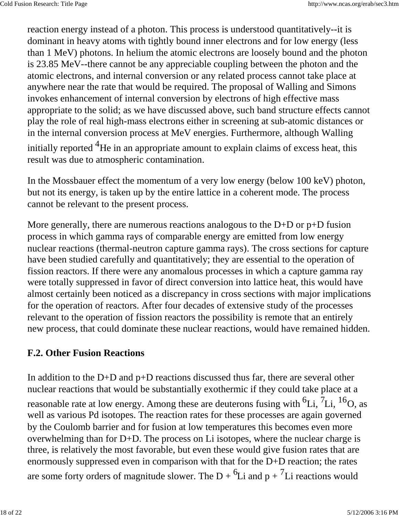reaction energy instead of a photon. This process is understood quantitatively--it is dominant in heavy atoms with tightly bound inner electrons and for low energy (less than 1 MeV) photons. In helium the atomic electrons are loosely bound and the photon is 23.85 MeV--there cannot be any appreciable coupling between the photon and the atomic electrons, and internal conversion or any related process cannot take place at anywhere near the rate that would be required. The proposal of Walling and Simons invokes enhancement of internal conversion by electrons of high effective mass appropriate to the solid; as we have discussed above, such band structure effects cannot play the role of real high-mass electrons either in screening at sub-atomic distances or in the internal conversion process at MeV energies. Furthermore, although Walling initially reported  ${}^{4}$ He in an appropriate amount to explain claims of excess heat, this result was due to atmospheric contamination.

In the Mossbauer effect the momentum of a very low energy (below 100 keV) photon, but not its energy, is taken up by the entire lattice in a coherent mode. The process cannot be relevant to the present process.

More generally, there are numerous reactions analogous to the D+D or p+D fusion process in which gamma rays of comparable energy are emitted from low energy nuclear reactions (thermal-neutron capture gamma rays). The cross sections for capture have been studied carefully and quantitatively; they are essential to the operation of fission reactors. If there were any anomalous processes in which a capture gamma ray were totally suppressed in favor of direct conversion into lattice heat, this would have almost certainly been noticed as a discrepancy in cross sections with major implications for the operation of reactors. After four decades of extensive study of the processes relevant to the operation of fission reactors the possibility is remote that an entirely new process, that could dominate these nuclear reactions, would have remained hidden.

## **F.2. Other Fusion Reactions**

In addition to the D+D and p+D reactions discussed thus far, there are several other nuclear reactions that would be substantially exothermic if they could take place at a reasonable rate at low energy. Among these are deuterons fusing with  $^6$ Li,  $^7$ Li,  $^{16}$ O, as well as various Pd isotopes. The reaction rates for these processes are again governed by the Coulomb barrier and for fusion at low temperatures this becomes even more overwhelming than for D+D. The process on Li isotopes, where the nuclear charge is three, is relatively the most favorable, but even these would give fusion rates that are enormously suppressed even in comparison with that for the D+D reaction; the rates are some forty orders of magnitude slower. The D +  ${}^{6}$ Li and p +  ${}^{7}$ Li reactions would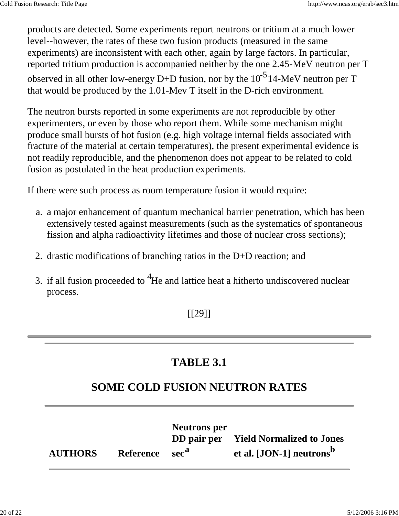products are detected. Some experiments report neutrons or tritium at a much lower level--however, the rates of these two fusion products (measured in the same experiments) are inconsistent with each other, again by large factors. In particular, reported tritium production is accompanied neither by the one 2.45-MeV neutron per T observed in all other low-energy D+D fusion, nor by the  $10^{-5}$  14-MeV neutron per T that would be produced by the 1.01-Mev T itself in the D-rich environment.

The neutron bursts reported in some experiments are not reproducible by other experimenters, or even by those who report them. While some mechanism might produce small bursts of hot fusion (e.g. high voltage internal fields associated with fracture of the material at certain temperatures), the present experimental evidence is not readily reproducible, and the phenomenon does not appear to be related to cold fusion as postulated in the heat production experiments.

If there were such process as room temperature fusion it would require:

- a. a major enhancement of quantum mechanical barrier penetration, which has been extensively tested against measurements (such as the systematics of spontaneous fission and alpha radioactivity lifetimes and those of nuclear cross sections);
- 2. drastic modifications of branching ratios in the D+D reaction; and
- 3. if all fusion proceeded to  ${}^{4}$ He and lattice heat a hitherto undiscovered nuclear process.

[[29]]

# **TABLE 3.1**

# **SOME COLD FUSION NEUTRON RATES**

|                |                            | <b>Neutrons</b> per | DD pair per Yield Normalized to Jones |
|----------------|----------------------------|---------------------|---------------------------------------|
| <b>AUTHORS</b> | Reference sec <sup>a</sup> |                     | et al. [JON-1] neutrons <sup>b</sup>  |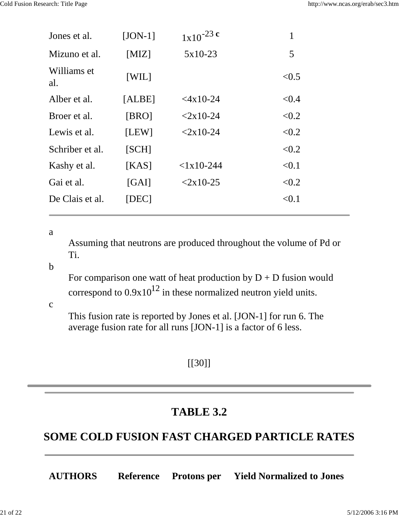| Jones et al.       | $[JON-1]$ | $1x10^{-23}$ c | $\mathbf{1}$ |
|--------------------|-----------|----------------|--------------|
| Mizuno et al.      | [MIZ]     | $5x10-23$      | 5            |
| Williams et<br>al. | [WIL]     |                | < 0.5        |
| Alber et al.       | [ALBE]    | $<$ 4x10-24    | < 0.4        |
| Broer et al.       | [BRO]     | $< 2x10-24$    | < 0.2        |
| Lewis et al.       | [LEW]     | $< 2x10-24$    | < 0.2        |
| Schriber et al.    | [SCH]     |                | < 0.2        |
| Kashy et al.       | [KAS]     | $< 1x10-244$   | < 0.1        |
| Gai et al.         | [GAI]     | $< 2x10-25$    | < 0.2        |
| De Clais et al.    | [DEC]     |                | < 0.1        |

a

Assuming that neutrons are produced throughout the volume of Pd or Ti.

#### b

For comparison one watt of heat production by  $D + D$  fusion would correspond to  $0.9x10^{12}$  in these normalized neutron yield units.

c

This fusion rate is reported by Jones et al. [JON-1] for run 6. The average fusion rate for all runs [JON-1] is a factor of 6 less.

## [[30]]

# **TABLE 3.2**

# **SOME COLD FUSION FAST CHARGED PARTICLE RATES**

**AUTHORS Reference Protons per Yield Normalized to Jones**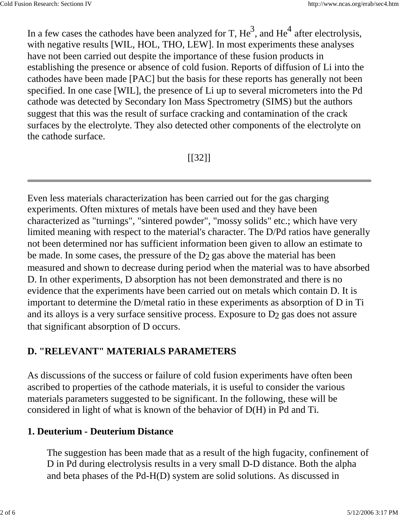In a few cases the cathodes have been analyzed for T,  $\text{He}^3$ , and  $\text{He}^4$  after electrolysis, with negative results [WIL, HOL, THO, LEW]. In most experiments these analyses have not been carried out despite the importance of these fusion products in establishing the presence or absence of cold fusion. Reports of diffusion of Li into the cathodes have been made [PAC] but the basis for these reports has generally not been specified. In one case [WIL], the presence of Li up to several micrometers into the Pd cathode was detected by Secondary Ion Mass Spectrometry (SIMS) but the authors suggest that this was the result of surface cracking and contamination of the crack surfaces by the electrolyte. They also detected other components of the electrolyte on the cathode surface.

 $[$ [[32]]

Even less materials characterization has been carried out for the gas charging experiments. Often mixtures of metals have been used and they have been characterized as "turnings", "sintered powder", "mossy solids" etc.; which have very limited meaning with respect to the material's character. The D/Pd ratios have generally not been determined nor has sufficient information been given to allow an estimate to be made. In some cases, the pressure of the D<sub>2</sub> gas above the material has been measured and shown to decrease during period when the material was to have absorbed D. In other experiments, D absorption has not been demonstrated and there is no evidence that the experiments have been carried out on metals which contain D. It is important to determine the D/metal ratio in these experiments as absorption of D in Ti and its alloys is a very surface sensitive process. Exposure to D2 gas does not assure that significant absorption of D occurs.

# **D. "RELEVANT" MATERIALS PARAMETERS**

As discussions of the success or failure of cold fusion experiments have often been ascribed to properties of the cathode materials, it is useful to consider the various materials parameters suggested to be significant. In the following, these will be considered in light of what is known of the behavior of D(H) in Pd and Ti.

# **1. Deuterium - Deuterium Distance**

The suggestion has been made that as a result of the high fugacity, confinement of D in Pd during electrolysis results in a very small D-D distance. Both the alpha and beta phases of the Pd-H(D) system are solid solutions. As discussed in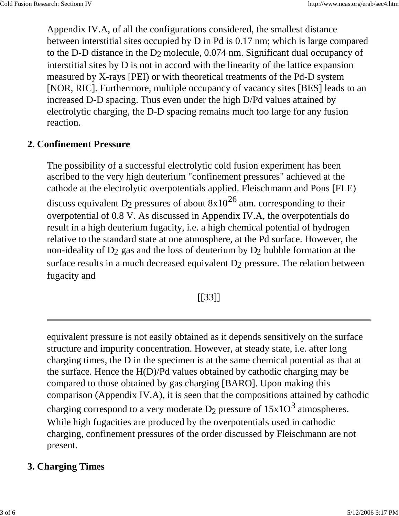Appendix IV.A, of all the configurations considered, the smallest distance between interstitial sites occupied by D in Pd is 0.17 nm; which is large compared to the D-D distance in the D2 molecule, 0.074 nm. Significant dual occupancy of interstitial sites by D is not in accord with the linearity of the lattice expansion measured by X-rays [PEI) or with theoretical treatments of the Pd-D system [NOR, RIC]. Furthermore, multiple occupancy of vacancy sites [BES] leads to an increased D-D spacing. Thus even under the high D/Pd values attained by electrolytic charging, the D-D spacing remains much too large for any fusion reaction.

### **2. Confinement Pressure**

The possibility of a successful electrolytic cold fusion experiment has been ascribed to the very high deuterium "confinement pressures" achieved at the cathode at the electrolytic overpotentials applied. Fleischmann and Pons [FLE) discuss equivalent D<sub>2</sub> pressures of about  $8x10^{26}$  atm. corresponding to their overpotential of 0.8 V. As discussed in Appendix IV.A, the overpotentials do result in a high deuterium fugacity, i.e. a high chemical potential of hydrogen relative to the standard state at one atmosphere, at the Pd surface. However, the non-ideality of  $D_2$  gas and the loss of deuterium by  $D_2$  bubble formation at the surface results in a much decreased equivalent  $D_2$  pressure. The relation between fugacity and

[[33]]

equivalent pressure is not easily obtained as it depends sensitively on the surface structure and impurity concentration. However, at steady state, i.e. after long charging times, the D in the specimen is at the same chemical potential as that at the surface. Hence the H(D)/Pd values obtained by cathodic charging may be compared to those obtained by gas charging [BARO]. Upon making this comparison (Appendix IV.A), it is seen that the compositions attained by cathodic charging correspond to a very moderate  $D_2$  pressure of  $15x10^3$  atmospheres. While high fugacities are produced by the overpotentials used in cathodic charging, confinement pressures of the order discussed by Fleischmann are not present.

### **3. Charging Times**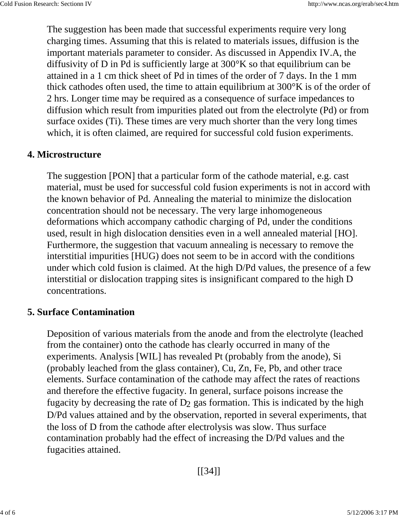The suggestion has been made that successful experiments require very long charging times. Assuming that this is related to materials issues, diffusion is the important materials parameter to consider. As discussed in Appendix IV.A, the diffusivity of D in Pd is sufficiently large at 300°K so that equilibrium can be attained in a 1 cm thick sheet of Pd in times of the order of 7 days. In the 1 mm thick cathodes often used, the time to attain equilibrium at 300°K is of the order of 2 hrs. Longer time may be required as a consequence of surface impedances to diffusion which result from impurities plated out from the electrolyte (Pd) or from surface oxides (Ti). These times are very much shorter than the very long times which, it is often claimed, are required for successful cold fusion experiments.

#### **4. Microstructure**

The suggestion [PON] that a particular form of the cathode material, e.g. cast material, must be used for successful cold fusion experiments is not in accord with the known behavior of Pd. Annealing the material to minimize the dislocation concentration should not be necessary. The very large inhomogeneous deformations which accompany cathodic charging of Pd, under the conditions used, result in high dislocation densities even in a well annealed material [HO]. Furthermore, the suggestion that vacuum annealing is necessary to remove the interstitial impurities [HUG) does not seem to be in accord with the conditions under which cold fusion is claimed. At the high D/Pd values, the presence of a few interstitial or dislocation trapping sites is insignificant compared to the high D concentrations.

#### **5. Surface Contamination**

Deposition of various materials from the anode and from the electrolyte (leached from the container) onto the cathode has clearly occurred in many of the experiments. Analysis [WIL] has revealed Pt (probably from the anode), Si (probably leached from the glass container), Cu, Zn, Fe, Pb, and other trace elements. Surface contamination of the cathode may affect the rates of reactions and therefore the effective fugacity. In general, surface poisons increase the fugacity by decreasing the rate of  $D_2$  gas formation. This is indicated by the high D/Pd values attained and by the observation, reported in several experiments, that the loss of D from the cathode after electrolysis was slow. Thus surface contamination probably had the effect of increasing the D/Pd values and the fugacities attained.

[[34]]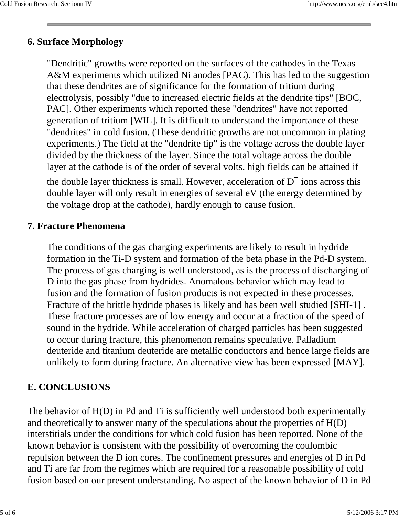### **6. Surface Morphology**

"Dendritic" growths were reported on the surfaces of the cathodes in the Texas A&M experiments which utilized Ni anodes [PAC). This has led to the suggestion that these dendrites are of significance for the formation of tritium during electrolysis, possibly "due to increased electric fields at the dendrite tips" [BOC, PAC]. Other experiments which reported these "dendrites" have not reported generation of tritium [WIL]. It is difficult to understand the importance of these "dendrites" in cold fusion. (These dendritic growths are not uncommon in plating experiments.) The field at the "dendrite tip" is the voltage across the double layer divided by the thickness of the layer. Since the total voltage across the double layer at the cathode is of the order of several volts, high fields can be attained if

the double layer thickness is small. However, acceleration of  $D^+$  ions across this double layer will only result in energies of several eV (the energy determined by the voltage drop at the cathode), hardly enough to cause fusion.

#### **7. Fracture Phenomena**

The conditions of the gas charging experiments are likely to result in hydride formation in the Ti-D system and formation of the beta phase in the Pd-D system. The process of gas charging is well understood, as is the process of discharging of D into the gas phase from hydrides. Anomalous behavior which may lead to fusion and the formation of fusion products is not expected in these processes. Fracture of the brittle hydride phases is likely and has been well studied [SHI-1] . These fracture processes are of low energy and occur at a fraction of the speed of sound in the hydride. While acceleration of charged particles has been suggested to occur during fracture, this phenomenon remains speculative. Palladium deuteride and titanium deuteride are metallic conductors and hence large fields are unlikely to form during fracture. An alternative view has been expressed [MAY].

### **E. CONCLUSIONS**

The behavior of H(D) in Pd and Ti is sufficiently well understood both experimentally and theoretically to answer many of the speculations about the properties of H(D) interstitials under the conditions for which cold fusion has been reported. None of the known behavior is consistent with the possibility of overcoming the coulombic repulsion between the D ion cores. The confinement pressures and energies of D in Pd and Ti are far from the regimes which are required for a reasonable possibility of cold fusion based on our present understanding. No aspect of the known behavior of D in Pd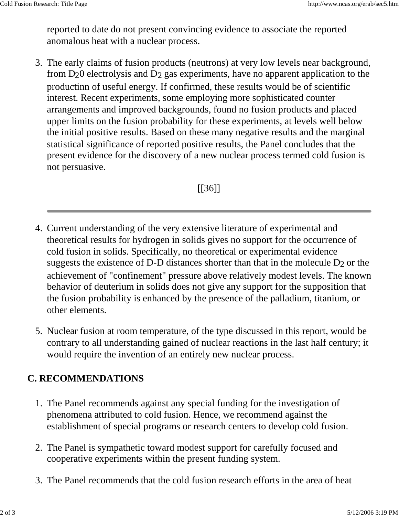reported to date do not present convincing evidence to associate the reported anomalous heat with a nuclear process.

3. The early claims of fusion products (neutrons) at very low levels near background, from D20 electrolysis and D2 gas experiments, have no apparent application to the productinn of useful energy. If confirmed, these results would be of scientific interest. Recent experiments, some employing more sophisticated counter arrangements and improved backgrounds, found no fusion products and placed upper limits on the fusion probability for these experiments, at levels well below the initial positive results. Based on these many negative results and the marginal statistical significance of reported positive results, the Panel concludes that the present evidence for the discovery of a new nuclear process termed cold fusion is not persuasive.

[[36]]

- Current understanding of the very extensive literature of experimental and 4. theoretical results for hydrogen in solids gives no support for the occurrence of cold fusion in solids. Specifically, no theoretical or experimental evidence suggests the existence of D-D distances shorter than that in the molecule  $D_2$  or the achievement of "confinement" pressure above relatively modest levels. The known behavior of deuterium in solids does not give any support for the supposition that the fusion probability is enhanced by the presence of the palladium, titanium, or other elements.
- 5. Nuclear fusion at room temperature, of the type discussed in this report, would be contrary to all understanding gained of nuclear reactions in the last half century; it would require the invention of an entirely new nuclear process.

## **C. RECOMMENDATIONS**

- 1. The Panel recommends against any special funding for the investigation of phenomena attributed to cold fusion. Hence, we recommend against the establishment of special programs or research centers to develop cold fusion.
- 2. The Panel is sympathetic toward modest support for carefully focused and cooperative experiments within the present funding system.
- 3. The Panel recommends that the cold fusion research efforts in the area of heat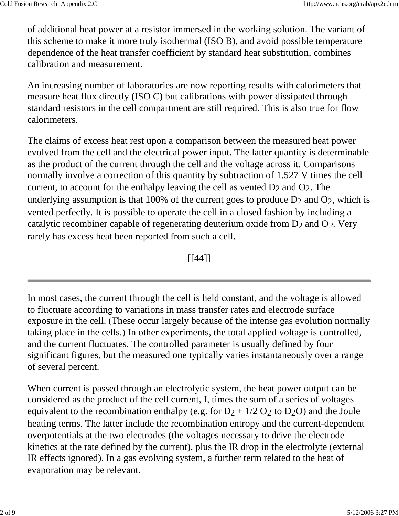of additional heat power at a resistor immersed in the working solution. The variant of this scheme to make it more truly isothermal (ISO B), and avoid possible temperature dependence of the heat transfer coefficient by standard heat substitution, combines calibration and measurement.

An increasing number of laboratories are now reporting results with calorimeters that measure heat flux directly (ISO C) but calibrations with power dissipated through standard resistors in the cell compartment are still required. This is also true for flow calorimeters.

The claims of excess heat rest upon a comparison between the measured heat power evolved from the cell and the electrical power input. The latter quantity is determinable as the product of the current through the cell and the voltage across it. Comparisons normally involve a correction of this quantity by subtraction of 1.527 V times the cell current, to account for the enthalpy leaving the cell as vented  $D_2$  and  $O_2$ . The underlying assumption is that 100% of the current goes to produce  $D_2$  and  $O_2$ , which is vented perfectly. It is possible to operate the cell in a closed fashion by including a catalytic recombiner capable of regenerating deuterium oxide from  $D_2$  and  $O_2$ . Very rarely has excess heat been reported from such a cell.

[[44]]

In most cases, the current through the cell is held constant, and the voltage is allowed to fluctuate according to variations in mass transfer rates and electrode surface exposure in the cell. (These occur largely because of the intense gas evolution normally taking place in the cells.) In other experiments, the total applied voltage is controlled, and the current fluctuates. The controlled parameter is usually defined by four significant figures, but the measured one typically varies instantaneously over a range of several percent.

When current is passed through an electrolytic system, the heat power output can be considered as the product of the cell current, I, times the sum of a series of voltages equivalent to the recombination enthalpy (e.g. for  $D_2 + 1/2 O_2$  to  $D_2O$ ) and the Joule heating terms. The latter include the recombination entropy and the current-dependent overpotentials at the two electrodes (the voltages necessary to drive the electrode kinetics at the rate defined by the current), plus the IR drop in the electrolyte (external IR effects ignored). In a gas evolving system, a further term related to the heat of evaporation may be relevant.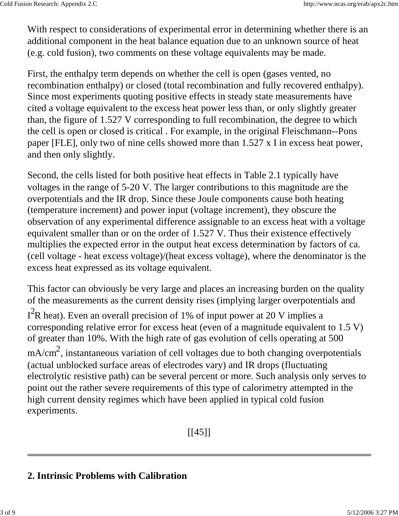With respect to considerations of experimental error in determining whether there is an additional component in the heat balance equation due to an unknown source of heat (e.g. cold fusion), two comments on these voltage equivalents may be made.

First, the enthalpy term depends on whether the cell is open (gases vented, no recombination enthalpy) or closed (total recombination and fully recovered enthalpy). Since most experiments quoting positive effects in steady state measurements have cited a voltage equivalent to the excess heat power less than, or only slightly greater than, the figure of 1.527 V corresponding to full recombination, the degree to which the cell is open or closed is critical . For example, in the original Fleischmann--Pons paper [FLE], only two of nine cells showed more than 1.527 x I in excess heat power, and then only slightly.

Second, the cells listed for both positive heat effects in Table 2.1 typically have voltages in the range of 5-20 V. The larger contributions to this magnitude are the overpotentials and the IR drop. Since these Joule components cause both heating (temperature increment) and power input (voltage increment), they obscure the observation of any experimental difference assignable to an excess heat with a voltage equivalent smaller than or on the order of 1.527 V. Thus their existence effectively multiplies the expected error in the output heat excess determination by factors of ca. (cell voltage - heat excess voltage)/(heat excess voltage), where the denominator is the excess heat expressed as its voltage equivalent.

This factor can obviously be very large and places an increasing burden on the quality of the measurements as the current density rises (implying larger overpotentials and  $I<sup>2</sup>R$  heat). Even an overall precision of 1% of input power at 20 V implies a corresponding relative error for excess heat (even of a magnitude equivalent to 1.5 V) of greater than 10%. With the high rate of gas evolution of cells operating at 500  $mA/cm<sup>2</sup>$ , instantaneous variation of cell voltages due to both changing overpotentials (actual unblocked surface areas of electrodes vary) and IR drops (fluctuating electrolytic resistive path) can be several percent or more. Such analysis only serves to point out the rather severe requirements of this type of calorimetry attempted in the high current density regimes which have been applied in typical cold fusion experiments.

 $[$ [[45]]]

## **2. Intrinsic Problems with Calibration**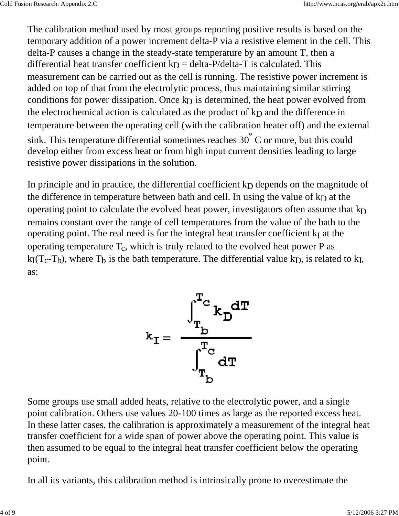The calibration method used by most groups reporting positive results is based on the temporary addition of a power increment delta-P via a resistive element in the cell. This delta-P causes a change in the steady-state temperature by an amount T, then a differential heat transfer coefficient  $k_D$  = delta-P/delta-T is calculated. This measurement can be carried out as the cell is running. The resistive power increment is added on top of that from the electrolytic process, thus maintaining similar stirring conditions for power dissipation. Once kp is determined, the heat power evolved from the electrochemical action is calculated as the product of  $kp$  and the difference in temperature between the operating cell (with the calibration heater off) and the external sink. This temperature differential sometimes reaches  $30^{\degree}$  C or more, but this could develop either from excess heat or from high input current densities leading to large resistive power dissipations in the solution.

In principle and in practice, the differential coefficient kp depends on the magnitude of the difference in temperature between bath and cell. In using the value of  $k_D$  at the operating point to calculate the evolved heat power, investigators often assume that  $k_D$ remains constant over the range of cell temperatures from the value of the bath to the operating point. The real need is for the integral heat transfer coefficient  $k_I$  at the operating temperature  $T_c$ , which is truly related to the evolved heat power P as  $kI(T_c-T_b)$ , where  $T_b$  is the bath temperature. The differential value kp, is related to k<sub>I</sub>, as:



Some groups use small added heats, relative to the electrolytic power, and a single point calibration. Others use values 20-100 times as large as the reported excess heat. In these latter cases, the calibration is approximately a measurement of the integral heat transfer coefficient for a wide span of power above the operating point. This value is then assumed to be equal to the integral heat transfer coefficient below the operating point.

In all its variants, this calibration method is intrinsically prone to overestimate the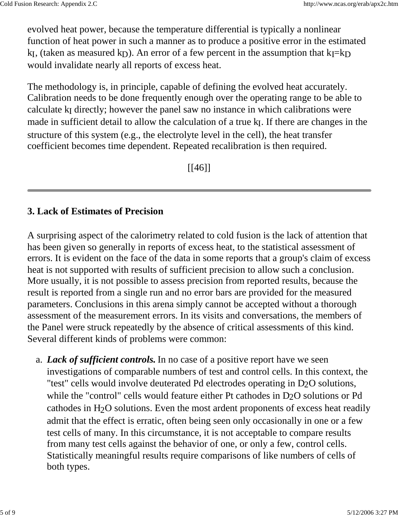evolved heat power, because the temperature differential is typically a nonlinear function of heat power in such a manner as to produce a positive error in the estimated k<sub>I</sub>, (taken as measured k<sub>D</sub>). An error of a few percent in the assumption that k<sub>I</sub>=k<sub>D</sub> would invalidate nearly all reports of excess heat.

The methodology is, in principle, capable of defining the evolved heat accurately. Calibration needs to be done frequently enough over the operating range to be able to calculate kI directly; however the panel saw no instance in which calibrations were made in sufficient detail to allow the calculation of a true k<sub>I</sub>. If there are changes in the structure of this system (e.g., the electrolyte level in the cell), the heat transfer coefficient becomes time dependent. Repeated recalibration is then required.

 $[ [46] ]$ 

### **3. Lack of Estimates of Precision**

A surprising aspect of the calorimetry related to cold fusion is the lack of attention that has been given so generally in reports of excess heat, to the statistical assessment of errors. It is evident on the face of the data in some reports that a group's claim of excess heat is not supported with results of sufficient precision to allow such a conclusion. More usually, it is not possible to assess precision from reported results, because the result is reported from a single run and no error bars are provided for the measured parameters. Conclusions in this arena simply cannot be accepted without a thorough assessment of the measurement errors. In its visits and conversations, the members of the Panel were struck repeatedly by the absence of critical assessments of this kind. Several different kinds of problems were common:

*Lack of sufficient controls.* In no case of a positive report have we seen a.investigations of comparable numbers of test and control cells. In this context, the "test" cells would involve deuterated Pd electrodes operating in D2O solutions, while the "control" cells would feature either Pt cathodes in D<sub>2</sub>O solutions or Pd cathodes in  $H_2O$  solutions. Even the most ardent proponents of excess heat readily admit that the effect is erratic, often being seen only occasionally in one or a few test cells of many. In this circumstance, it is not acceptable to compare results from many test cells against the behavior of one, or only a few, control cells. Statistically meaningful results require comparisons of like numbers of cells of both types.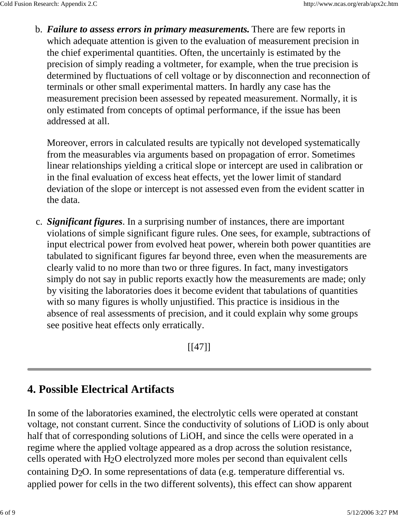*Failure to assess errors in primary measurements.* There are few reports in b. which adequate attention is given to the evaluation of measurement precision in the chief experimental quantities. Often, the uncertainly is estimated by the precision of simply reading a voltmeter, for example, when the true precision is determined by fluctuations of cell voltage or by disconnection and reconnection of terminals or other small experimental matters. In hardly any case has the measurement precision been assessed by repeated measurement. Normally, it is only estimated from concepts of optimal performance, if the issue has been addressed at all.

Moreover, errors in calculated results are typically not developed systematically from the measurables via arguments based on propagation of error. Sometimes linear relationships yielding a critical slope or intercept are used in calibration or in the final evaluation of excess heat effects, yet the lower limit of standard deviation of the slope or intercept is not assessed even from the evident scatter in the data.

c. Significant figures. In a surprising number of instances, there are important violations of simple significant figure rules. One sees, for example, subtractions of input electrical power from evolved heat power, wherein both power quantities are tabulated to significant figures far beyond three, even when the measurements are clearly valid to no more than two or three figures. In fact, many investigators simply do not say in public reports exactly how the measurements are made; only by visiting the laboratories does it become evident that tabulations of quantities with so many figures is wholly unjustified. This practice is insidious in the absence of real assessments of precision, and it could explain why some groups see positive heat effects only erratically.

 $[$ [[47]]]

# **4. Possible Electrical Artifacts**

In some of the laboratories examined, the electrolytic cells were operated at constant voltage, not constant current. Since the conductivity of solutions of LiOD is only about half that of corresponding solutions of LiOH, and since the cells were operated in a regime where the applied voltage appeared as a drop across the solution resistance, cells operated with H2O electrolyzed more moles per second than equivalent cells containing D2O. In some representations of data (e.g. temperature differential vs. applied power for cells in the two different solvents), this effect can show apparent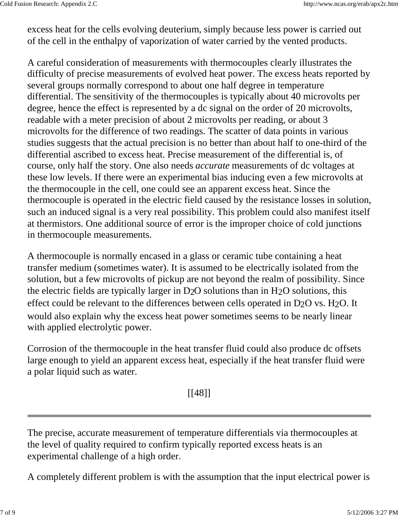excess heat for the cells evolving deuterium, simply because less power is carried out of the cell in the enthalpy of vaporization of water carried by the vented products.

A careful consideration of measurements with thermocouples clearly illustrates the difficulty of precise measurements of evolved heat power. The excess heats reported by several groups normally correspond to about one half degree in temperature differential. The sensitivity of the thermocouples is typically about 40 microvolts per degree, hence the effect is represented by a dc signal on the order of 20 microvolts, readable with a meter precision of about 2 microvolts per reading, or about 3 microvolts for the difference of two readings. The scatter of data points in various studies suggests that the actual precision is no better than about half to one-third of the differential ascribed to excess heat. Precise measurement of the differential is, of course, only half the story. One also needs *accurate* measurements of dc voltages at these low levels. If there were an experimental bias inducing even a few microvolts at the thermocouple in the cell, one could see an apparent excess heat. Since the thermocouple is operated in the electric field caused by the resistance losses in solution, such an induced signal is a very real possibility. This problem could also manifest itself at thermistors. One additional source of error is the improper choice of cold junctions in thermocouple measurements.

A thermocouple is normally encased in a glass or ceramic tube containing a heat transfer medium (sometimes water). It is assumed to be electrically isolated from the solution, but a few microvolts of pickup are not beyond the realm of possibility. Since the electric fields are typically larger in D2O solutions than in H2O solutions, this effect could be relevant to the differences between cells operated in D<sub>2</sub>O vs. H<sub>2</sub>O. It would also explain why the excess heat power sometimes seems to be nearly linear with applied electrolytic power.

Corrosion of the thermocouple in the heat transfer fluid could also produce dc offsets large enough to yield an apparent excess heat, especially if the heat transfer fluid were a polar liquid such as water.

[[48]]

The precise, accurate measurement of temperature differentials via thermocouples at the level of quality required to confirm typically reported excess heats is an experimental challenge of a high order.

A completely different problem is with the assumption that the input electrical power is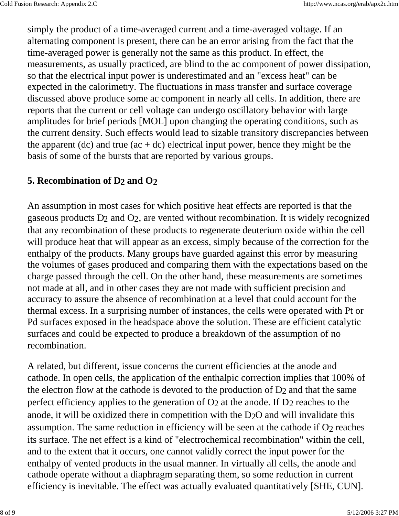simply the product of a time-averaged current and a time-averaged voltage. If an alternating component is present, there can be an error arising from the fact that the time-averaged power is generally not the same as this product. In effect, the measurements, as usually practiced, are blind to the ac component of power dissipation, so that the electrical input power is underestimated and an "excess heat" can be expected in the calorimetry. The fluctuations in mass transfer and surface coverage discussed above produce some ac component in nearly all cells. In addition, there are reports that the current or cell voltage can undergo oscillatory behavior with large amplitudes for brief periods [MOL] upon changing the operating conditions, such as the current density. Such effects would lead to sizable transitory discrepancies between the apparent (dc) and true  $(ac + dc)$  electrical input power, hence they might be the basis of some of the bursts that are reported by various groups.

#### **5. Recombination of D2 and O2**

An assumption in most cases for which positive heat effects are reported is that the gaseous products  $D_2$  and  $O_2$ , are vented without recombination. It is widely recognized that any recombination of these products to regenerate deuterium oxide within the cell will produce heat that will appear as an excess, simply because of the correction for the enthalpy of the products. Many groups have guarded against this error by measuring the volumes of gases produced and comparing them with the expectations based on the charge passed through the cell. On the other hand, these measurements are sometimes not made at all, and in other cases they are not made with sufficient precision and accuracy to assure the absence of recombination at a level that could account for the thermal excess. In a surprising number of instances, the cells were operated with Pt or Pd surfaces exposed in the headspace above the solution. These are efficient catalytic surfaces and could be expected to produce a breakdown of the assumption of no recombination.

A related, but different, issue concerns the current efficiencies at the anode and cathode. In open cells, the application of the enthalpic correction implies that 100% of the electron flow at the cathode is devoted to the production of D2 and that the same perfect efficiency applies to the generation of  $O<sub>2</sub>$  at the anode. If  $D<sub>2</sub>$  reaches to the anode, it will be oxidized there in competition with the D2O and will invalidate this assumption. The same reduction in efficiency will be seen at the cathode if  $O<sub>2</sub>$  reaches its surface. The net effect is a kind of "electrochemical recombination" within the cell, and to the extent that it occurs, one cannot validly correct the input power for the enthalpy of vented products in the usual manner. In virtually all cells, the anode and cathode operate without a diaphragm separating them, so some reduction in current efficiency is inevitable. The effect was actually evaluated quantitatively [SHE, CUN].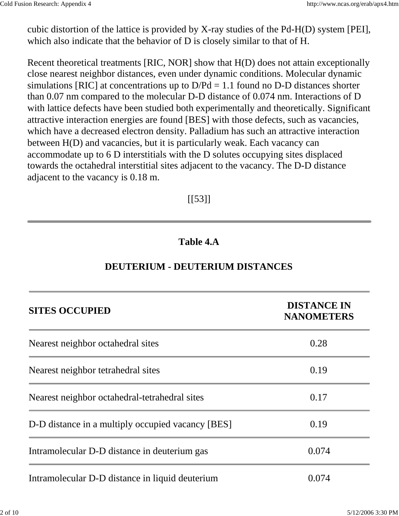cubic distortion of the lattice is provided by X-ray studies of the Pd-H(D) system [PEI], which also indicate that the behavior of D is closely similar to that of H.

Recent theoretical treatments [RIC, NOR] show that H(D) does not attain exceptionally close nearest neighbor distances, even under dynamic conditions. Molecular dynamic simulations [RIC] at concentrations up to  $D/Pd = 1.1$  found no D-D distances shorter than 0.07 nm compared to the molecular D-D distance of 0.074 nm. Interactions of D with lattice defects have been studied both experimentally and theoretically. Significant attractive interaction energies are found [BES] with those defects, such as vacancies, which have a decreased electron density. Palladium has such an attractive interaction between H(D) and vacancies, but it is particularly weak. Each vacancy can accommodate up to 6 D interstitials with the D solutes occupying sites displaced towards the octahedral interstitial sites adjacent to the vacancy. The D-D distance adjacent to the vacancy is 0.18 m.

### $[$ [[53]]]

### **Table 4.A**

### **DEUTERIUM - DEUTERIUM DISTANCES**

| <b>SITES OCCUPIED</b>                             | <b>DISTANCE IN</b><br><b>NANOMETERS</b> |  |
|---------------------------------------------------|-----------------------------------------|--|
| Nearest neighbor octahedral sites                 | 0.28                                    |  |
| Nearest neighbor tetrahedral sites                | 0.19                                    |  |
| Nearest neighbor octahedral-tetrahedral sites     | 0.17                                    |  |
| D-D distance in a multiply occupied vacancy [BES] | 0.19                                    |  |
| Intramolecular D-D distance in deuterium gas      | 0.074                                   |  |
| Intramolecular D-D distance in liquid deuterium   | 0.074                                   |  |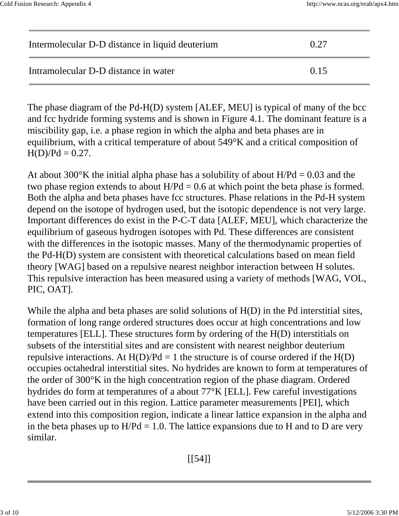| Intermolecular D-D distance in liquid deuterium | 0.27 |
|-------------------------------------------------|------|
| Intramolecular D-D distance in water            | 0.15 |

The phase diagram of the Pd-H(D) system [ALEF, MEU] is typical of many of the bcc and fcc hydride forming systems and is shown in Figure 4.1. The dominant feature is a miscibility gap, i.e. a phase region in which the alpha and beta phases are in equilibrium, with a critical temperature of about 549°K and a critical composition of  $H(D)/Pd = 0.27$ .

At about 300 $\rmdegree K$  the initial alpha phase has a solubility of about H/Pd = 0.03 and the two phase region extends to about  $H/Pd = 0.6$  at which point the beta phase is formed. Both the alpha and beta phases have fcc structures. Phase relations in the Pd-H system depend on the isotope of hydrogen used, but the isotopic dependence is not very large. Important differences do exist in the P-C-T data [ALEF, MEU], which characterize the equilibrium of gaseous hydrogen isotopes with Pd. These differences are consistent with the differences in the isotopic masses. Many of the thermodynamic properties of the Pd-H(D) system are consistent with theoretical calculations based on mean field theory [WAG] based on a repulsive nearest neighbor interaction between H solutes. This repulsive interaction has been measured using a variety of methods [WAG, VOL, PIC, OAT].

While the alpha and beta phases are solid solutions of  $H(D)$  in the Pd interstitial sites, formation of long range ordered structures does occur at high concentrations and low temperatures [ELL]. These structures form by ordering of the H(D) interstitials on subsets of the interstitial sites and are consistent with nearest neighbor deuterium repulsive interactions. At  $H(D)/Pd = 1$  the structure is of course ordered if the  $H(D)$ occupies octahedral interstitial sites. No hydrides are known to form at temperatures of the order of 300°K in the high concentration region of the phase diagram. Ordered hydrides do form at temperatures of a about 77°K [ELL]. Few careful investigations have been carried out in this region. Lattice parameter measurements [PEI], which extend into this composition region, indicate a linear lattice expansion in the alpha and in the beta phases up to  $H/Pd = 1.0$ . The lattice expansions due to H and to D are very similar.

 $[$ [[54]]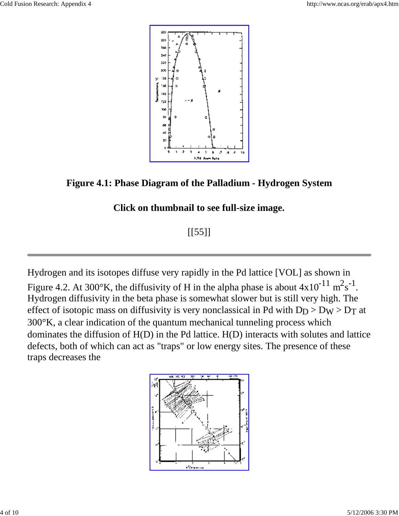

**Figure 4.1: Phase Diagram of the Palladium - Hydrogen System**

### **Click on thumbnail to see full-size image.**

# $[$ [[55]]]

Hydrogen and its isotopes diffuse very rapidly in the Pd lattice [VOL] as shown in Figure 4.2. At 300°K, the diffusivity of H in the alpha phase is about  $4x10^{-11}$   $\text{m}^2\text{s}^{-1}$ . Hydrogen diffusivity in the beta phase is somewhat slower but is still very high. The effect of isotopic mass on diffusivity is very nonclassical in Pd with  $D_D > Dw > D_T$  at 300°K, a clear indication of the quantum mechanical tunneling process which dominates the diffusion of H(D) in the Pd lattice. H(D) interacts with solutes and lattice defects, both of which can act as "traps" or low energy sites. The presence of these traps decreases the

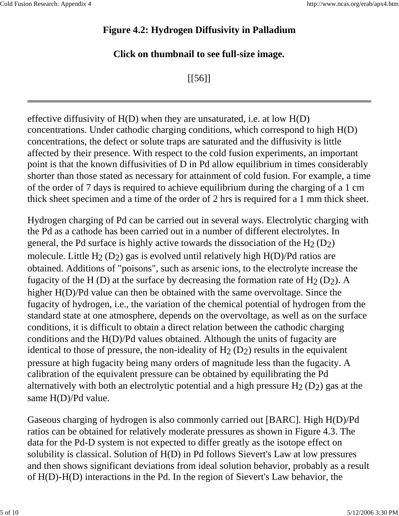### **Figure 4.2: Hydrogen Diffusivity in Palladium**

#### **Click on thumbnail to see full-size image.**

[[56]]

effective diffusivity of  $H(D)$  when they are unsaturated, i.e. at low  $H(D)$ concentrations. Under cathodic charging conditions, which correspond to high H(D) concentrations, the defect or solute traps are saturated and the diffusivity is little affected by their presence. With respect to the cold fusion experiments, an important point is that the known diffusivities of D in Pd allow equilibrium in times considerably shorter than those stated as necessary for attainment of cold fusion. For example, a time of the order of 7 days is required to achieve equilibrium during the charging of a 1 cm thick sheet specimen and a time of the order of 2 hrs is required for a 1 mm thick sheet.

Hydrogen charging of Pd can be carried out in several ways. Electrolytic charging with the Pd as a cathode has been carried out in a number of different electrolytes. In general, the Pd surface is highly active towards the dissociation of the  $H_2(D_2)$ molecule. Little  $H_2(D_2)$  gas is evolved until relatively high  $H(D)/Pd$  ratios are obtained. Additions of "poisons", such as arsenic ions, to the electrolyte increase the fugacity of the H (D) at the surface by decreasing the formation rate of  $H_2(D_2)$ . A higher H(D)/Pd value can then be obtained with the same overvoltage. Since the fugacity of hydrogen, i.e., the variation of the chemical potential of hydrogen from the standard state at one atmosphere, depends on the overvoltage, as well as on the surface conditions, it is difficult to obtain a direct relation between the cathodic charging conditions and the H(D)/Pd values obtained. Although the units of fugacity are identical to those of pressure, the non-ideality of  $H_2(D_2)$  results in the equivalent pressure at high fugacity being many orders of magnitude less than the fugacity. A calibration of the equivalent pressure can be obtained by equilibrating the Pd alternatively with both an electrolytic potential and a high pressure  $H_2(D_2)$  gas at the same H(D)/Pd value.

Gaseous charging of hydrogen is also commonly carried out [BARC]. High H(D)/Pd ratios can be obtained for relatively moderate pressures as shown in Figure 4.3. The data for the Pd-D system is not expected to differ greatly as the isotope effect on solubility is classical. Solution of H(D) in Pd follows Sievert's Law at low pressures and then shows significant deviations from ideal solution behavior, probably as a result of H(D)-H(D) interactions in the Pd. In the region of Sievert's Law behavior, the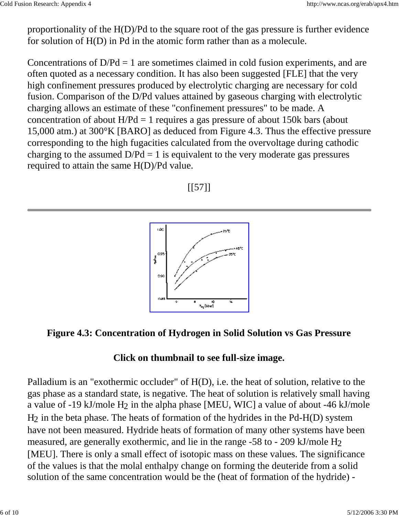proportionality of the H(D)/Pd to the square root of the gas pressure is further evidence for solution of H(D) in Pd in the atomic form rather than as a molecule.

Concentrations of  $D/Pd = 1$  are sometimes claimed in cold fusion experiments, and are often quoted as a necessary condition. It has also been suggested [FLE] that the very high confinement pressures produced by electrolytic charging are necessary for cold fusion. Comparison of the D/Pd values attained by gaseous charging with electrolytic charging allows an estimate of these "confinement pressures" to be made. A concentration of about  $H/Pd = 1$  requires a gas pressure of about 150k bars (about 15,000 atm.) at 300°K [BARO] as deduced from Figure 4.3. Thus the effective pressure corresponding to the high fugacities calculated from the overvoltage during cathodic charging to the assumed  $D/Pd = 1$  is equivalent to the very moderate gas pressures required to attain the same H(D)/Pd value.





### **Figure 4.3: Concentration of Hydrogen in Solid Solution vs Gas Pressure**

#### **Click on thumbnail to see full-size image.**

Palladium is an "exothermic occluder" of H(D), i.e. the heat of solution, relative to the gas phase as a standard state, is negative. The heat of solution is relatively small having a value of -19 kJ/mole H2 in the alpha phase [MEU, WIC] a value of about -46 kJ/mole H2 in the beta phase. The heats of formation of the hydrides in the Pd-H(D) system have not been measured. Hydride heats of formation of many other systems have been measured, are generally exothermic, and lie in the range -58 to - 209 kJ/mole H2 [MEU]. There is only a small effect of isotopic mass on these values. The significance of the values is that the molal enthalpy change on forming the deuteride from a solid solution of the same concentration would be the (heat of formation of the hydride) -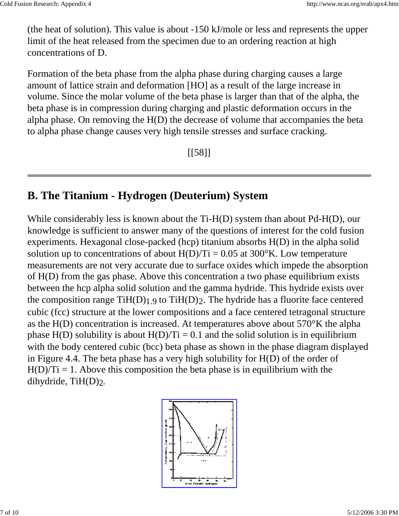(the heat of solution). This value is about -150 kJ/mole or less and represents the upper limit of the heat released from the specimen due to an ordering reaction at high concentrations of D.

Formation of the beta phase from the alpha phase during charging causes a large amount of lattice strain and deformation [HO] as a result of the large increase in volume. Since the molar volume of the beta phase is larger than that of the alpha, the beta phase is in compression during charging and plastic deformation occurs in the alpha phase. On removing the H(D) the decrease of volume that accompanies the beta to alpha phase change causes very high tensile stresses and surface cracking.

[[58]]

# **B. The Titanium - Hydrogen (Deuterium) System**

While considerably less is known about the Ti-H(D) system than about Pd-H(D), our knowledge is sufficient to answer many of the questions of interest for the cold fusion experiments. Hexagonal close-packed (hcp) titanium absorbs H(D) in the alpha solid solution up to concentrations of about  $H(D)/Ti = 0.05$  at 300°K. Low temperature measurements are not very accurate due to surface oxides which impede the absorption of H(D) from the gas phase. Above this concentration a two phase equilibrium exists between the hcp alpha solid solution and the gamma hydride. This hydride exists over the composition range  $TiH(D)_{1,9}$  to  $TiH(D)_2$ . The hydride has a fluorite face centered cubic (fcc) structure at the lower compositions and a face centered tetragonal structure as the H(D) concentration is increased. At temperatures above about 570°K the alpha phase  $H(D)$  solubility is about  $H(D)/Ti = 0.1$  and the solid solution is in equilibrium with the body centered cubic (bcc) beta phase as shown in the phase diagram displayed in Figure 4.4. The beta phase has a very high solubility for H(D) of the order of  $H(D)/Ti = 1$ . Above this composition the beta phase is in equilibrium with the dihydride, TiH(D)2.

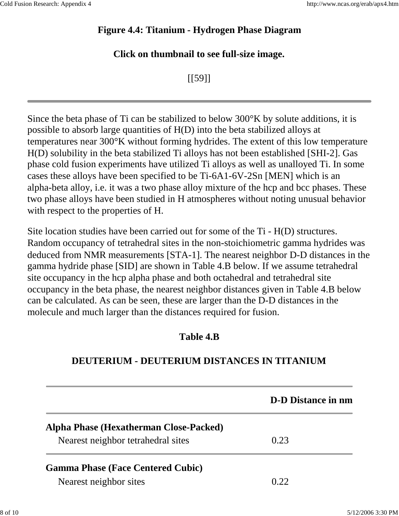### **Figure 4.4: Titanium - Hydrogen Phase Diagram**

#### **Click on thumbnail to see full-size image.**

[[59]]

Since the beta phase of Ti can be stabilized to below 300°K by solute additions, it is possible to absorb large quantities of H(D) into the beta stabilized alloys at temperatures near 300°K without forming hydrides. The extent of this low temperature H(D) solubility in the beta stabilized Ti alloys has not been established [SHI-2]. Gas phase cold fusion experiments have utilized Ti alloys as well as unalloyed Ti. In some cases these alloys have been specified to be Ti-6A1-6V-2Sn [MEN] which is an alpha-beta alloy, i.e. it was a two phase alloy mixture of the hcp and bcc phases. These two phase alloys have been studied in H atmospheres without noting unusual behavior with respect to the properties of H.

Site location studies have been carried out for some of the Ti - H(D) structures. Random occupancy of tetrahedral sites in the non-stoichiometric gamma hydrides was deduced from NMR measurements [STA-1]. The nearest neighbor D-D distances in the gamma hydride phase [SID] are shown in Table 4.B below. If we assume tetrahedral site occupancy in the hcp alpha phase and both octahedral and tetrahedral site occupancy in the beta phase, the nearest neighbor distances given in Table 4.B below can be calculated. As can be seen, these are larger than the D-D distances in the molecule and much larger than the distances required for fusion.

### **Table 4.B**

## **DEUTERIUM - DEUTERIUM DISTANCES IN TITANIUM**

|                                          | <b>D-D</b> Distance in nm |
|------------------------------------------|---------------------------|
| Alpha Phase (Hexatherman Close-Packed)   |                           |
| Nearest neighbor tetrahedral sites       | 0.23                      |
| <b>Gamma Phase (Face Centered Cubic)</b> |                           |
| Nearest neighbor sites                   | 0.22                      |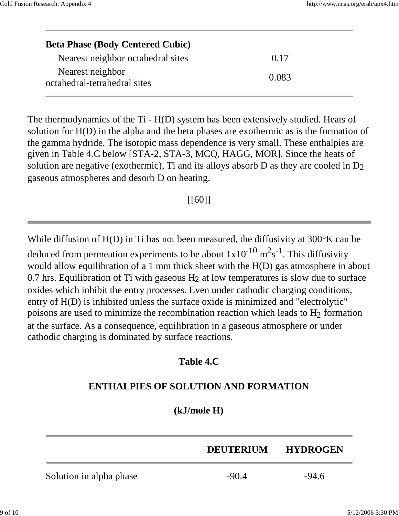| <b>Beta Phase (Body Centered Cubic)</b>          |       |  |
|--------------------------------------------------|-------|--|
| Nearest neighbor octahedral sites                | 0.17  |  |
| Nearest neighbor<br>octahedral-tetrahedral sites | 0.083 |  |

The thermodynamics of the Ti - H(D) system has been extensively studied. Heats of solution for H(D) in the alpha and the beta phases are exothermic as is the formation of the gamma hydride. The isotopic mass dependence is very small. These enthalpies are given in Table 4.C below [STA-2, STA-3, MCQ, HAGG, MOR]. Since the heats of solution are negative (exothermic), Ti and its alloys absorb D as they are cooled in D2 gaseous atmospheres and desorb D on heating.

[[60]]

While diffusion of H(D) in Ti has not been measured, the diffusivity at 300°K can be deduced from permeation experiments to be about  $1x10^{-10}$   $m^2s^{-1}$ . This diffusivity would allow equilibration of a 1 mm thick sheet with the H(D) gas atmosphere in about 0.7 hrs. Equilibration of Ti with gaseous  $H_2$  at low temperatures is slow due to surface oxides which inhibit the entry processes. Even under cathodic charging conditions, entry of H(D) is inhibited unless the surface oxide is minimized and "electrolytic" poisons are used to minimize the recombination reaction which leads to  $H_2$  formation at the surface. As a consequence, equilibration in a gaseous atmosphere or under cathodic charging is dominated by surface reactions.

#### **Table 4.C**

### **ENTHALPIES OF SOLUTION AND FORMATION**

#### **(kJ/mole H)**

|                         | <b>DEUTERIUM</b> | <b>HYDROGEN</b> |
|-------------------------|------------------|-----------------|
| Solution in alpha phase | $-90.4$          | $-94.6$         |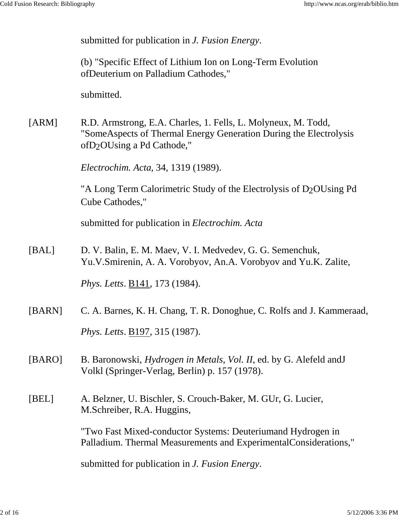submitted for publication in *J. Fusion Energy*.

(b) "Specific Effect of Lithium Ion on Long-Term Evolution ofDeuterium on Palladium Cathodes,"

submitted.

[ARM] R.D. Armstrong, E.A. Charles, 1. Fells, L. Molyneux, M. Todd, "SomeAspects of Thermal Energy Generation During the Electrolysis ofD2OUsing a Pd Cathode,"

*Electrochim. Acta*, 34, 1319 (1989).

"A Long Term Calorimetric Study of the Electrolysis of D<sub>2</sub>OUsing Pd Cube Cathodes,"

submitted for publication in *Electrochim. Acta*

[BAL] D. V. Balin, E. M. Maev, V. I. Medvedev, G. G. Semenchuk, Yu.V.Smirenin, A. A. Vorobyov, An.A. Vorobyov and Yu.K. Zalite,

*Phys. Letts*. B141, 173 (1984).

[BARN] C. A. Barnes, K. H. Chang, T. R. Donoghue, C. Rolfs and J. Kammeraad, *Phys. Letts*. B197, 315 (1987).

[BARO] B. Baronowski, *Hydrogen in Metals, Vol. II*, ed. by G. Alefeld andJ Volkl (Springer-Verlag, Berlin) p. 157 (1978).

[BEL] A. Belzner, U. Bischler, S. Crouch-Baker, M. GUr, G. Lucier, M.Schreiber, R.A. Huggins,

> "Two Fast Mixed-conductor Systems: Deuteriumand Hydrogen in Palladium. Thermal Measurements and ExperimentalConsiderations,"

submitted for publication in *J. Fusion Energy*.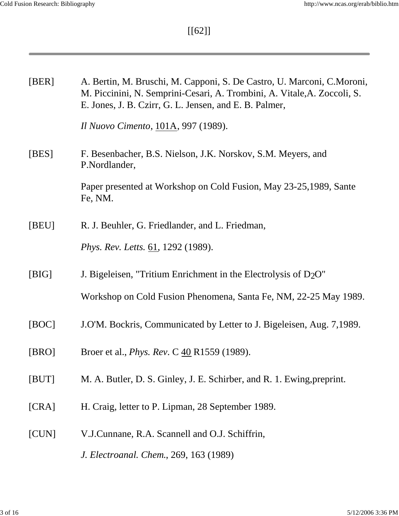and the control of the control of

[[62]]

| [BER] | A. Bertin, M. Bruschi, M. Capponi, S. De Castro, U. Marconi, C. Moroni,<br>M. Piccinini, N. Semprini-Cesari, A. Trombini, A. Vitale, A. Zoccoli, S.<br>E. Jones, J. B. Czirr, G. L. Jensen, and E. B. Palmer, |
|-------|---------------------------------------------------------------------------------------------------------------------------------------------------------------------------------------------------------------|
|       | Il Nuovo Cimento, 101A, 997 (1989).                                                                                                                                                                           |
| [BES] | F. Besenbacher, B.S. Nielson, J.K. Norskov, S.M. Meyers, and<br>P.Nordlander,                                                                                                                                 |
|       | Paper presented at Workshop on Cold Fusion, May 23-25, 1989, Sante<br>Fe, NM.                                                                                                                                 |
| [BEU] | R. J. Beuhler, G. Friedlander, and L. Friedman,                                                                                                                                                               |
|       | Phys. Rev. Letts. 61, 1292 (1989).                                                                                                                                                                            |
| [BIG] | J. Bigeleisen, "Tritium Enrichment in the Electrolysis of $D_2O$ "                                                                                                                                            |
|       | Workshop on Cold Fusion Phenomena, Santa Fe, NM, 22-25 May 1989.                                                                                                                                              |
| [BOC] | J.O'M. Bockris, Communicated by Letter to J. Bigeleisen, Aug. 7,1989.                                                                                                                                         |
| [BRO] | Broer et al., <i>Phys. Rev. C</i> 40 R1559 (1989).                                                                                                                                                            |
| [BUT] | M. A. Butler, D. S. Ginley, J. E. Schirber, and R. 1. Ewing, preprint.                                                                                                                                        |
| [CRA] | H. Craig, letter to P. Lipman, 28 September 1989.                                                                                                                                                             |
| [CUN] | V.J.Cunnane, R.A. Scannell and O.J. Schiffrin,                                                                                                                                                                |
|       | J. Electroanal. Chem., 269, 163 (1989)                                                                                                                                                                        |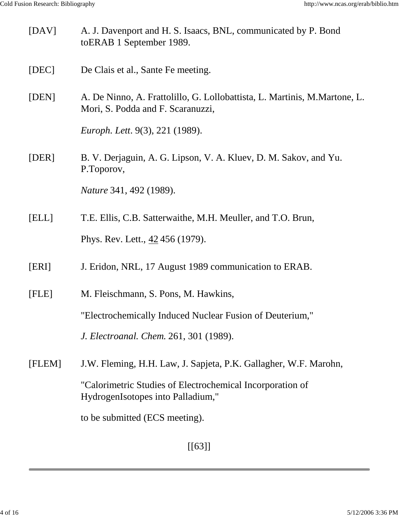| [DAV]  | A. J. Davenport and H. S. Isaacs, BNL, communicated by P. Bond<br>to ERAB 1 September 1989.                    |
|--------|----------------------------------------------------------------------------------------------------------------|
| [DEC]  | De Clais et al., Sante Fe meeting.                                                                             |
| [DEN]  | A. De Ninno, A. Frattolillo, G. Lollobattista, L. Martinis, M.Martone, L.<br>Mori, S. Podda and F. Scaranuzzi, |
|        | Europh. Lett. 9(3), 221 (1989).                                                                                |
| [DER]  | B. V. Derjaguin, A. G. Lipson, V. A. Kluev, D. M. Sakov, and Yu.<br>P.Toporov,                                 |
|        | <i>Nature</i> 341, 492 (1989).                                                                                 |
| [ELL]  | T.E. Ellis, C.B. Satterwaithe, M.H. Meuller, and T.O. Brun,                                                    |
|        | Phys. Rev. Lett., 42 456 (1979).                                                                               |
| [ERI]  | J. Eridon, NRL, 17 August 1989 communication to ERAB.                                                          |
| [FLE]  | M. Fleischmann, S. Pons, M. Hawkins,                                                                           |
|        | "Electrochemically Induced Nuclear Fusion of Deuterium,"                                                       |
|        | J. Electroanal. Chem. 261, 301 (1989).                                                                         |
| [FLEM] | J.W. Fleming, H.H. Law, J. Sapjeta, P.K. Gallagher, W.F. Marohn,                                               |
|        | "Calorimetric Studies of Electrochemical Incorporation of<br>HydrogenIsotopes into Palladium,"                 |
|        | to be submitted (ECS meeting).                                                                                 |

[[63]]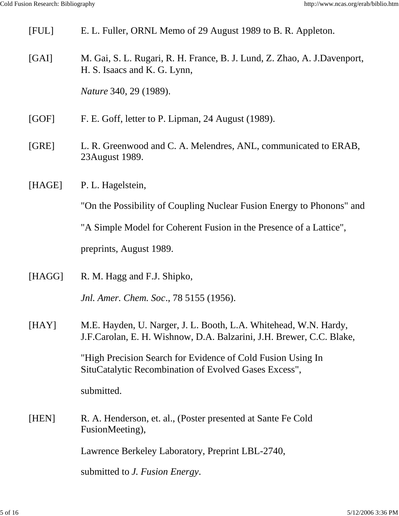| [FUL]  | E. L. Fuller, ORNL Memo of 29 August 1989 to B. R. Appleton.                                                                             |
|--------|------------------------------------------------------------------------------------------------------------------------------------------|
| [GAI]  | M. Gai, S. L. Rugari, R. H. France, B. J. Lund, Z. Zhao, A. J.Davenport,<br>H. S. Isaacs and K. G. Lynn,                                 |
|        | <i>Nature</i> 340, 29 (1989).                                                                                                            |
| [GOF]  | F. E. Goff, letter to P. Lipman, 24 August (1989).                                                                                       |
| [GRE]  | L. R. Greenwood and C. A. Melendres, ANL, communicated to ERAB,<br>23 August 1989.                                                       |
| [HAGE] | P. L. Hagelstein,                                                                                                                        |
|        | "On the Possibility of Coupling Nuclear Fusion Energy to Phonons" and                                                                    |
|        | "A Simple Model for Coherent Fusion in the Presence of a Lattice",                                                                       |
|        | preprints, August 1989.                                                                                                                  |
| [HAGG] | R. M. Hagg and F.J. Shipko,                                                                                                              |
|        | <i>Jnl. Amer. Chem. Soc., 78</i> 5155 (1956).                                                                                            |
| [HAY]  | M.E. Hayden, U. Narger, J. L. Booth, L.A. Whitehead, W.N. Hardy,<br>J.F.Carolan, E. H. Wishnow, D.A. Balzarini, J.H. Brewer, C.C. Blake, |
|        | "High Precision Search for Evidence of Cold Fusion Using In<br>SituCatalytic Recombination of Evolved Gases Excess",                     |
|        | submitted.                                                                                                                               |
| [HEN]  | R. A. Henderson, et. al., (Poster presented at Sante Fe Cold<br>FusionMeeting),                                                          |
|        | Lawrence Berkeley Laboratory, Preprint LBL-2740,                                                                                         |
|        | submitted to <i>J. Fusion Energy</i> .                                                                                                   |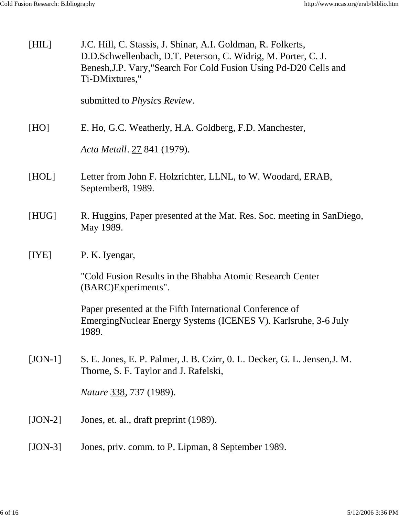| [HIL]     | J.C. Hill, C. Stassis, J. Shinar, A.I. Goldman, R. Folkerts,<br>D.D.Schwellenbach, D.T. Peterson, C. Widrig, M. Porter, C. J.<br>Benesh, J.P. Vary, "Search For Cold Fusion Using Pd-D20 Cells and<br>Ti-DMixtures,"<br>submitted to <i>Physics Review</i> . |
|-----------|--------------------------------------------------------------------------------------------------------------------------------------------------------------------------------------------------------------------------------------------------------------|
|           |                                                                                                                                                                                                                                                              |
| [HO]      | E. Ho, G.C. Weatherly, H.A. Goldberg, F.D. Manchester,                                                                                                                                                                                                       |
|           | Acta Metall. 27 841 (1979).                                                                                                                                                                                                                                  |
| [HOL]     | Letter from John F. Holzrichter, LLNL, to W. Woodard, ERAB,<br>September8, 1989.                                                                                                                                                                             |
| [HUG]     | R. Huggins, Paper presented at the Mat. Res. Soc. meeting in SanDiego,<br>May 1989.                                                                                                                                                                          |
| [IYE]     | P. K. Iyengar,                                                                                                                                                                                                                                               |
|           | "Cold Fusion Results in the Bhabha Atomic Research Center<br>(BARC)Experiments".                                                                                                                                                                             |
|           | Paper presented at the Fifth International Conference of<br>Emerging Nuclear Energy Systems (ICENES V). Karlsruhe, 3-6 July<br>1989.                                                                                                                         |
| $[JON-1]$ | S. E. Jones, E. P. Palmer, J. B. Czirr, O. L. Decker, G. L. Jensen, J. M.<br>Thorne, S. F. Taylor and J. Rafelski,                                                                                                                                           |
|           | <i>Nature</i> 338, 737 (1989).                                                                                                                                                                                                                               |
| $[JON-2]$ | Jones, et. al., draft preprint (1989).                                                                                                                                                                                                                       |
| $[JON-3]$ | Jones, priv. comm. to P. Lipman, 8 September 1989.                                                                                                                                                                                                           |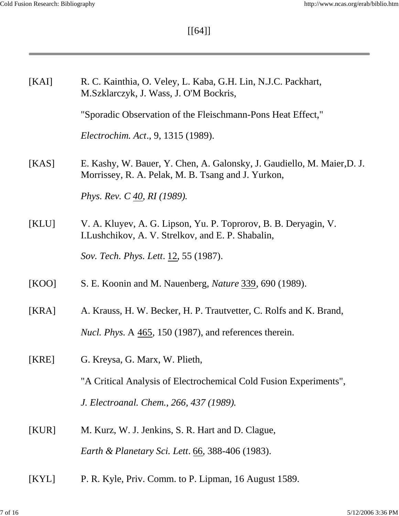and the control of the control of

[[64]]

| [KAI] | R. C. Kainthia, O. Veley, L. Kaba, G.H. Lin, N.J.C. Packhart,<br>M.Szklarczyk, J. Wass, J. O'M Bockris,                       |
|-------|-------------------------------------------------------------------------------------------------------------------------------|
|       | "Sporadic Observation of the Fleischmann-Pons Heat Effect,"                                                                   |
|       | Electrochim. Act., 9, 1315 (1989).                                                                                            |
| [KAS] | E. Kashy, W. Bauer, Y. Chen, A. Galonsky, J. Gaudiello, M. Maier, D. J.<br>Morrissey, R. A. Pelak, M. B. Tsang and J. Yurkon, |
|       | <i>Phys. Rev. C 40, RI (1989).</i>                                                                                            |
| [KLU] | V. A. Kluyev, A. G. Lipson, Yu. P. Toprorov, B. B. Deryagin, V.<br>I. Lushchikov, A. V. Strelkov, and E. P. Shabalin,         |
|       | Sov. Tech. Phys. Lett. 12, 55 (1987).                                                                                         |
| [KOO] | S. E. Koonin and M. Nauenberg, <i>Nature</i> 339, 690 (1989).                                                                 |
| [KRA] | A. Krauss, H. W. Becker, H. P. Trautvetter, C. Rolfs and K. Brand,                                                            |
|       | <i>Nucl. Phys. A 465, 150 (1987), and references therein.</i>                                                                 |
| [KRE] | G. Kreysa, G. Marx, W. Plieth,                                                                                                |
|       | "A Critical Analysis of Electrochemical Cold Fusion Experiments",                                                             |
|       | J. Electroanal. Chem., 266, 437 (1989).                                                                                       |
| [KUR] | M. Kurz, W. J. Jenkins, S. R. Hart and D. Clague,                                                                             |
|       | Earth & Planetary Sci. Lett. 66, 388-406 (1983).                                                                              |
| [KYL] | P. R. Kyle, Priv. Comm. to P. Lipman, 16 August 1589.                                                                         |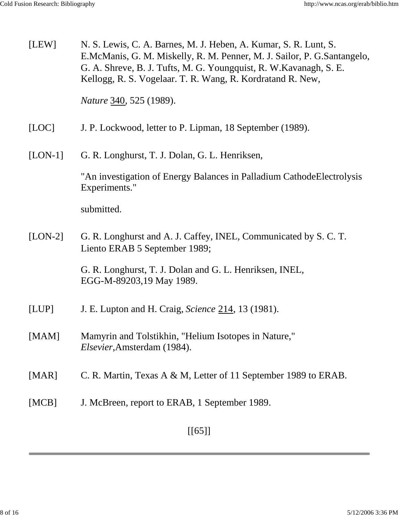| [LEW]     | N. S. Lewis, C. A. Barnes, M. J. Heben, A. Kumar, S. R. Lunt, S.<br>E.McManis, G. M. Miskelly, R. M. Penner, M. J. Sailor, P. G.Santangelo,<br>G. A. Shreve, B. J. Tufts, M. G. Youngquist, R. W. Kavanagh, S. E.<br>Kellogg, R. S. Vogelaar. T. R. Wang, R. Kordratand R. New, |
|-----------|---------------------------------------------------------------------------------------------------------------------------------------------------------------------------------------------------------------------------------------------------------------------------------|
|           | <i>Nature</i> 340, 525 (1989).                                                                                                                                                                                                                                                  |
| [LOC]     | J. P. Lockwood, letter to P. Lipman, 18 September (1989).                                                                                                                                                                                                                       |
| $[LON-1]$ | G. R. Longhurst, T. J. Dolan, G. L. Henriksen,                                                                                                                                                                                                                                  |
|           | "An investigation of Energy Balances in Palladium Cathode Electrolysis<br>Experiments."                                                                                                                                                                                         |
|           | submitted.                                                                                                                                                                                                                                                                      |
| $[LON-2]$ | G. R. Longhurst and A. J. Caffey, INEL, Communicated by S. C. T.<br>Liento ERAB 5 September 1989;                                                                                                                                                                               |
|           | G. R. Longhurst, T. J. Dolan and G. L. Henriksen, INEL,<br>EGG-M-89203,19 May 1989.                                                                                                                                                                                             |
| [LUP]     | J. E. Lupton and H. Craig, Science 214, 13 (1981).                                                                                                                                                                                                                              |
| [MAM]     | Mamyrin and Tolstikhin, "Helium Isotopes in Nature,"<br>Elsevier, Amsterdam (1984).                                                                                                                                                                                             |
| [MAR]     | C. R. Martin, Texas A & M, Letter of 11 September 1989 to ERAB.                                                                                                                                                                                                                 |
| [MCB]     | J. McBreen, report to ERAB, 1 September 1989.                                                                                                                                                                                                                                   |
|           | $[[65]]$                                                                                                                                                                                                                                                                        |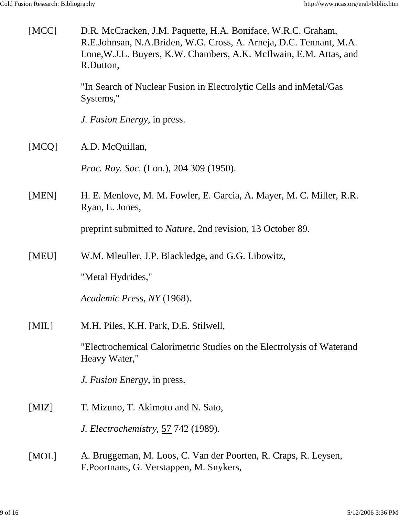| [MCC] | D.R. McCracken, J.M. Paquette, H.A. Boniface, W.R.C. Graham,<br>R.E.Johnsan, N.A.Briden, W.G. Cross, A. Arneja, D.C. Tennant, M.A.<br>Lone, W.J.L. Buyers, K.W. Chambers, A.K. McIlwain, E.M. Attas, and<br>R.Dutton, |
|-------|-----------------------------------------------------------------------------------------------------------------------------------------------------------------------------------------------------------------------|
|       | "In Search of Nuclear Fusion in Electrolytic Cells and inMetal/Gas<br>Systems,"                                                                                                                                       |
|       | J. Fusion Energy, in press.                                                                                                                                                                                           |
| [MCQ] | A.D. McQuillan,                                                                                                                                                                                                       |
|       | <i>Proc. Roy. Soc.</i> (Lon.), 204 309 (1950).                                                                                                                                                                        |
| [MEN] | H. E. Menlove, M. M. Fowler, E. Garcia, A. Mayer, M. C. Miller, R.R.<br>Ryan, E. Jones,                                                                                                                               |
|       | preprint submitted to <i>Nature</i> , 2nd revision, 13 October 89.                                                                                                                                                    |
| [MEU] | W.M. Meuller, J.P. Blackledge, and G.G. Libowitz,                                                                                                                                                                     |
|       | "Metal Hydrides,"                                                                                                                                                                                                     |
|       | Academic Press, NY (1968).                                                                                                                                                                                            |
| [MIL] | M.H. Piles, K.H. Park, D.E. Stilwell,                                                                                                                                                                                 |
|       | "Electrochemical Calorimetric Studies on the Electrolysis of Waterand<br>Heavy Water,"                                                                                                                                |
|       | J. Fusion Energy, in press.                                                                                                                                                                                           |
| [MIZ] | T. Mizuno, T. Akimoto and N. Sato,                                                                                                                                                                                    |
|       | <i>J. Electrochemistry, 57 742 (1989).</i>                                                                                                                                                                            |
| [MOL] | A. Bruggeman, M. Loos, C. Van der Poorten, R. Craps, R. Leysen,<br>F.Poortnans, G. Verstappen, M. Snykers,                                                                                                            |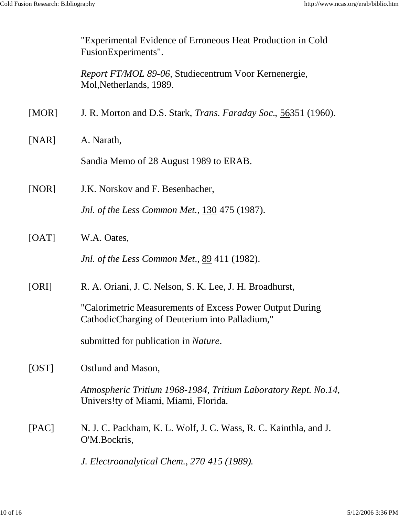|       | "Experimental Evidence of Erroneous Heat Production in Cold<br>FusionExperiments".                         |
|-------|------------------------------------------------------------------------------------------------------------|
|       | Report FT/MOL 89-06, Studiecentrum Voor Kernenergie,<br>Mol, Netherlands, 1989.                            |
| [MOR] | J. R. Morton and D.S. Stark, <i>Trans. Faraday Soc.</i> , 56351 (1960).                                    |
| [NAR] | A. Narath,                                                                                                 |
|       | Sandia Memo of 28 August 1989 to ERAB.                                                                     |
| [NOR] | J.K. Norskov and F. Besenbacher,                                                                           |
|       | <i>Jnl. of the Less Common Met., 130 475 (1987).</i>                                                       |
| [OAT] | W.A. Oates,                                                                                                |
|       | Jnl. of the Less Common Met., 89 411 (1982).                                                               |
| [ORI] | R. A. Oriani, J. C. Nelson, S. K. Lee, J. H. Broadhurst,                                                   |
|       | "Calorimetric Measurements of Excess Power Output During<br>CathodicCharging of Deuterium into Palladium," |
|       | submitted for publication in <i>Nature</i> .                                                               |
| [OST] | Ostlund and Mason,                                                                                         |
|       | Atmospheric Tritium 1968-1984, Tritium Laboratory Rept. No.14,<br>Univers!ty of Miami, Miami, Florida.     |
| [PAC] | N. J. C. Packham, K. L. Wolf, J. C. Wass, R. C. Kainthla, and J.<br>O'M.Bockris,                           |
|       | J. Electroanalytical Chem., 270 415 (1989).                                                                |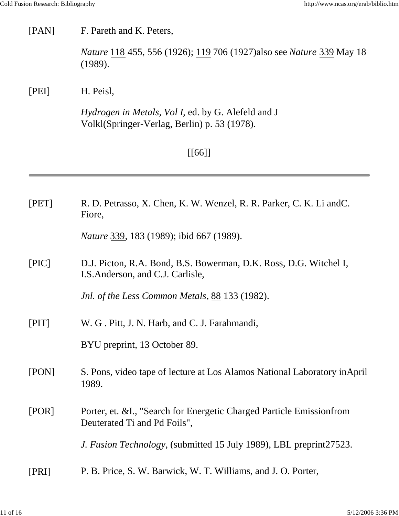### [PAN] F. Pareth and K. Peters,

*Nature* 118 455, 556 (1926); 119 706 (1927)also see *Nature* 339 May 18 (1989).

### [PEI] H. Peisl,

*Hydrogen in Metals, Vol I*, ed. by G. Alefeld and J Volkl(Springer-Verlag, Berlin) p. 53 (1978).

# [[66]]

| [PET] | R. D. Petrasso, X. Chen, K. W. Wenzel, R. R. Parker, C. K. Li and C.<br>Fiore,                         |
|-------|--------------------------------------------------------------------------------------------------------|
|       | Nature 339, 183 (1989); ibid 667 (1989).                                                               |
| [PIC] | D.J. Picton, R.A. Bond, B.S. Bowerman, D.K. Ross, D.G. Witchel I,<br>I.S. Anderson, and C.J. Carlisle, |
|       | Jnl. of the Less Common Metals, 88 133 (1982).                                                         |
| [PIT] | W. G. Pitt, J. N. Harb, and C. J. Farahmandi,                                                          |
|       | BYU preprint, 13 October 89.                                                                           |
| [PON] | S. Pons, video tape of lecture at Los Alamos National Laboratory in April<br>1989.                     |
| [POR] | Porter, et. & I., "Search for Energetic Charged Particle Emission from<br>Deuterated Ti and Pd Foils", |
|       | <i>J. Fusion Technology</i> , (submitted 15 July 1989), LBL preprint 27523.                            |
| [PRI] | P. B. Price, S. W. Barwick, W. T. Williams, and J. O. Porter,                                          |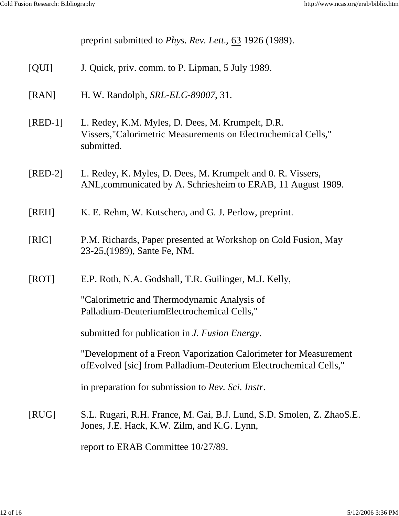preprint submitted to *Phys. Rev. Lett.*, 63 1926 (1989). [QUI] J. Quick, priv. comm. to P. Lipman, 5 July 1989. [RAN] H. W. Randolph, *SRL-ELC-89007*, 31. [RED-1] L. Redey, K.M. Myles, D. Dees, M. Krumpelt, D.R. Vissers,"Calorimetric Measurements on Electrochemical Cells," submitted. [RED-2] L. Redey, K. Myles, D. Dees, M. Krumpelt and 0. R. Vissers, ANL,communicated by A. Schriesheim to ERAB, 11 August 1989. [REH] K. E. Rehm, W. Kutschera, and G. J. Perlow, preprint. [RIC] P.M. Richards, Paper presented at Workshop on Cold Fusion, May 23-25,(1989), Sante Fe, NM. [ROT] E.P. Roth, N.A. Godshall, T.R. Guilinger, M.J. Kelly, "Calorimetric and Thermodynamic Analysis of Palladium-DeuteriumElectrochemical Cells," submitted for publication in *J. Fusion Energy*. "Development of a Freon Vaporization Calorimeter for Measurement ofEvolved [sic] from Palladium-Deuterium Electrochemical Cells," in preparation for submission to *Rev. Sci. Instr*. [RUG] S.L. Rugari, R.H. France, M. Gai, B.J. Lund, S.D. Smolen, Z. ZhaoS.E. Jones, J.E. Hack, K.W. Zilm, and K.G. Lynn, report to ERAB Committee 10/27/89.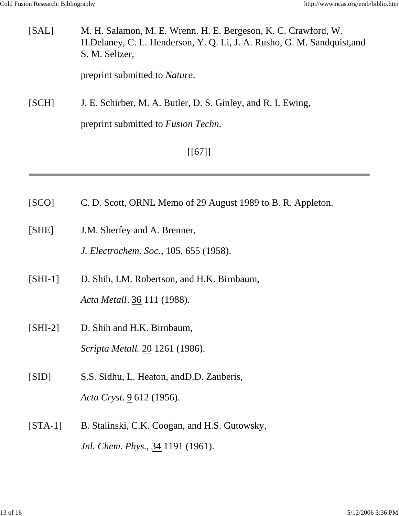| [SAL] | M. H. Salamon, M. E. Wrenn. H. E. Bergeson, K. C. Crawford, W.<br>H.Delaney, C. L. Henderson, Y. Q. Li, J. A. Rusho, G. M. Sandquist,and<br>S. M. Seltzer, |
|-------|------------------------------------------------------------------------------------------------------------------------------------------------------------|
|       | preprint submitted to <i>Nature</i> .                                                                                                                      |
| [SCH] | J. E. Schirber, M. A. Butler, D. S. Ginley, and R. I. Ewing,<br>preprint submitted to <i>Fusion Techn</i> .                                                |
|       |                                                                                                                                                            |
|       | $[$ [67]]                                                                                                                                                  |

- [SCO] C. D. Scott, ORNL Memo of 29 August 1989 to B. R. Appleton.
- [SHE] J.M. Sherfey and A. Brenner,

*J. Electrochem. Soc.*, 105, 655 (1958).

- [SHI-1] D. Shih, I.M. Robertson, and H.K. Birnbaum, *Acta Metall*. 36 111 (1988).
- [SHI-2] D. Shih and H.K. Birnbaum, *Scripta Metall*. 20 1261 (1986).
- [SID] S.S. Sidhu, L. Heaton, andD.D. Zauberis, *Acta Cryst*. 9 612 (1956).
- [STA-1] B. Stalinski, C.K. Coogan, and H.S. Gutowsky, *Jnl. Chem. Phys.*, 34 1191 (1961).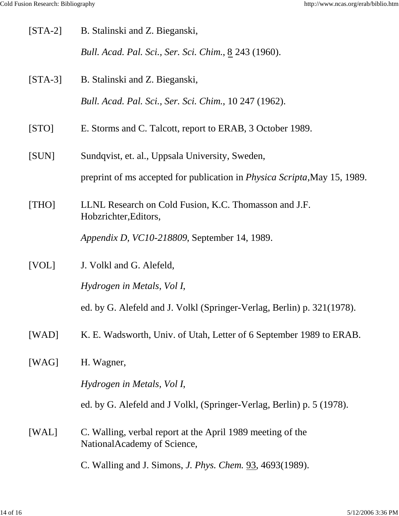| $[STA-2]$ | B. Stalinski and Z. Bieganski,                                                             |
|-----------|--------------------------------------------------------------------------------------------|
|           | Bull. Acad. Pal. Sci., Ser. Sci. Chim., 8 243 (1960).                                      |
| $[STA-3]$ | B. Stalinski and Z. Bieganski,                                                             |
|           | Bull. Acad. Pal. Sci., Ser. Sci. Chim., 10 247 (1962).                                     |
| [STO]     | E. Storms and C. Talcott, report to ERAB, 3 October 1989.                                  |
| [SUN]     | Sundqvist, et. al., Uppsala University, Sweden,                                            |
|           | preprint of ms accepted for publication in <i>Physica Scripta</i> , May 15, 1989.          |
| [THO]     | LLNL Research on Cold Fusion, K.C. Thomasson and J.F.<br>Hobzrichter, Editors,             |
|           | Appendix D, VC10-218809, September 14, 1989.                                               |
|           |                                                                                            |
| [VOL]     | J. Volkl and G. Alefeld,                                                                   |
|           | Hydrogen in Metals, Vol I,                                                                 |
|           | ed. by G. Alefeld and J. Volkl (Springer-Verlag, Berlin) p. 321(1978).                     |
| [WAD]     | K. E. Wadsworth, Univ. of Utah, Letter of 6 September 1989 to ERAB.                        |
| [WAG]     | H. Wagner,                                                                                 |
|           | Hydrogen in Metals, Vol I,                                                                 |
|           | ed. by G. Alefeld and J Volkl, (Springer-Verlag, Berlin) p. 5 (1978).                      |
| [WAL]     | C. Walling, verbal report at the April 1989 meeting of the<br>National Academy of Science, |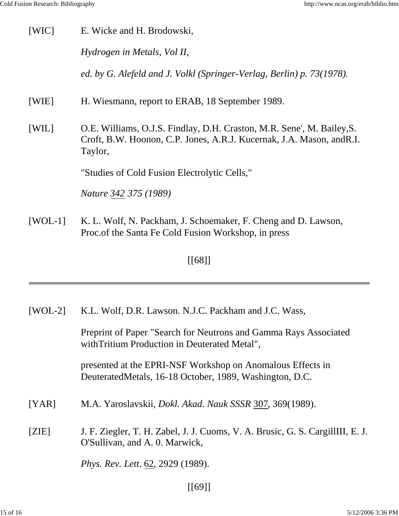| [WIC]     | E. Wicke and H. Brodowski,                                                                                                                                 |
|-----------|------------------------------------------------------------------------------------------------------------------------------------------------------------|
|           | Hydrogen in Metals, Vol II,                                                                                                                                |
|           | ed. by G. Alefeld and J. Volkl (Springer-Verlag, Berlin) p. 73(1978).                                                                                      |
| [WIE]     | H. Wiesmann, report to ERAB, 18 September 1989.                                                                                                            |
| [WIL]     | O.E. Williams, O.J.S. Findlay, D.H. Craston, M.R. Sene', M. Bailey, S.<br>Croft, B.W. Hoonon, C.P. Jones, A.R.J. Kucernak, J.A. Mason, and R.I.<br>Taylor, |
|           | "Studies of Cold Fusion Electrolytic Cells,"                                                                                                               |
|           | <i>Nature 342 375 (1989)</i>                                                                                                                               |
| $[WOL-1]$ | K. L. Wolf, N. Packham, J. Schoemaker, F. Cheng and D. Lawson,<br>Proc. of the Santa Fe Cold Fusion Workshop, in press                                     |
|           | [[68]]                                                                                                                                                     |

[[68]]

| $[WOL-2]$ | K.L. Wolf, D.R. Lawson. N.J.C. Packham and J.C. Wass,                                                                 |
|-----------|-----------------------------------------------------------------------------------------------------------------------|
|           | Preprint of Paper "Search for Neutrons and Gamma Rays Associated<br>with Tritium Production in Deuterated Metal",     |
|           | presented at the EPRI-NSF Workshop on Anomalous Effects in<br>DeuteratedMetals, 16-18 October, 1989, Washington, D.C. |
| [YAR]     | M.A. Yaroslavskii, <i>Dokl. Akad. Nauk SSSR</i> 307, 369(1989).                                                       |
| [ZIE]     | J. F. Ziegler, T. H. Zabel, J. J. Cuoms, V. A. Brusic, G. S. CargillIII, E. J.<br>O'Sullivan, and A. 0. Marwick,      |
|           | <i>Phys. Rev. Lett.</i> 62, 2929 (1989).                                                                              |
|           |                                                                                                                       |

[[69]]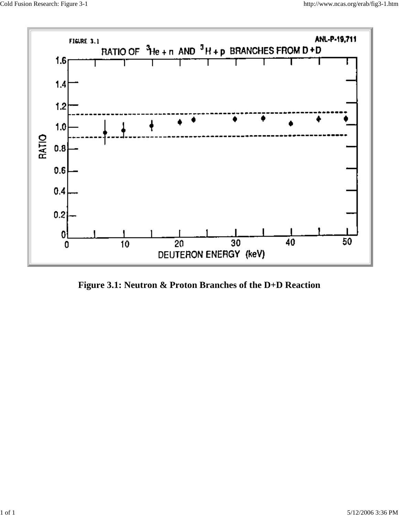

**Figure 3.1: Neutron & Proton Branches of the D+D Reaction**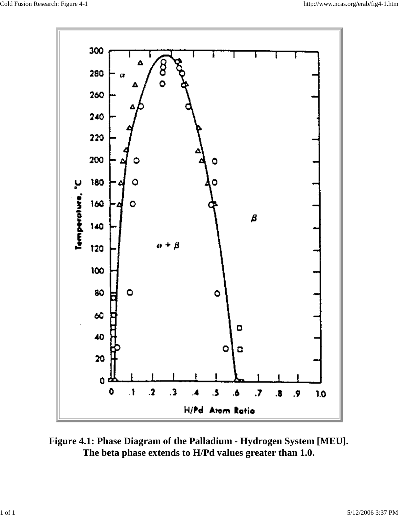

**Figure 4.1: Phase Diagram of the Palladium - Hydrogen System [MEU]. The beta phase extends to H/Pd values greater than 1.0.**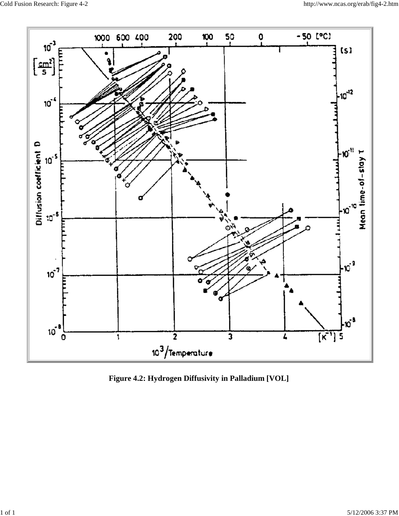

**Figure 4.2: Hydrogen Diffusivity in Palladium [VOL]**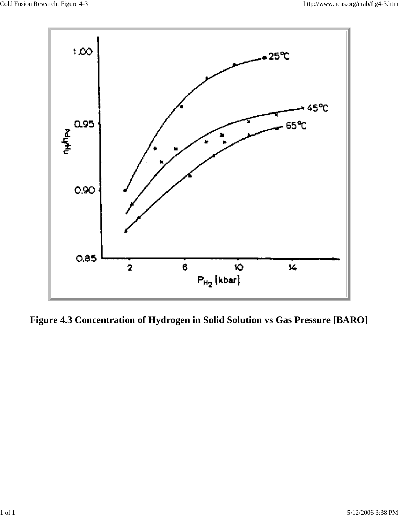

**Figure 4.3 Concentration of Hydrogen in Solid Solution vs Gas Pressure [BARO]**